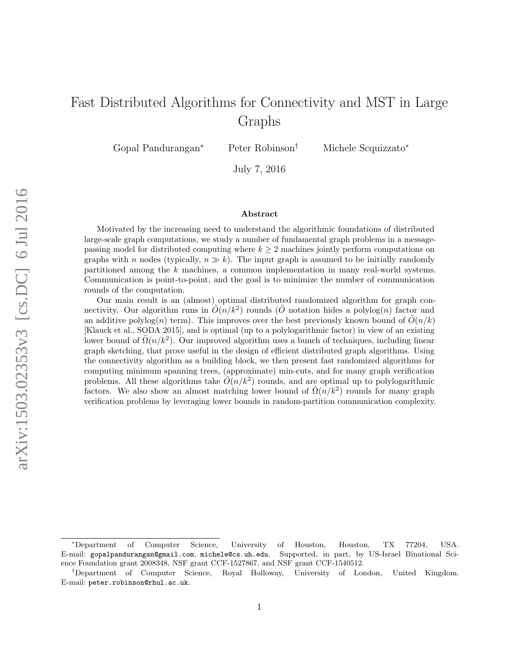# Fast Distributed Algorithms for Connectivity and MST in Large Graphs

Gopal Pandurangan<sup>∗</sup> Peter Robinson† Michele Scquizzato<sup>∗</sup>

July 7, 2016

#### Abstract

Motivated by the increasing need to understand the algorithmic foundations of distributed large-scale graph computations, we study a number of fundamental graph problems in a messagepassing model for distributed computing where  $k \geq 2$  machines jointly perform computations on graphs with n nodes (typically,  $n \gg k$ ). The input graph is assumed to be initially randomly partitioned among the k machines, a common implementation in many real-world systems. Communication is point-to-point, and the goal is to minimize the number of communication rounds of the computation.

Our main result is an (almost) optimal distributed randomized algorithm for graph connectivity. Our algorithm runs in  $\tilde{O}(n/k^2)$  rounds ( $\tilde{O}$  notation hides a polylog(n) factor and an additive polylog(n) term). This improves over the best previously known bound of  $\tilde{O}(n/k)$ [Klauck et al., SODA 2015], and is optimal (up to a polylogarithmic factor) in view of an existing lower bound of  $\tilde{\Omega}(n/k^2)$ . Our improved algorithm uses a bunch of techniques, including linear graph sketching, that prove useful in the design of efficient distributed graph algorithms. Using the connectivity algorithm as a building block, we then present fast randomized algorithms for computing minimum spanning trees, (approximate) min-cuts, and for many graph verification problems. All these algorithms take  $\tilde{O}(n/k^2)$  rounds, and are optimal up to polylogarithmic factors. We also show an almost matching lower bound of  $\tilde{\Omega}(n/k^2)$  rounds for many graph verification problems by leveraging lower bounds in random-partition communication complexity.

<sup>∗</sup>Department of Computer Science, University of Houston, Houston, TX 77204, USA. E-mail: gopalpandurangan@gmail.com, michele@cs.uh.edu. Supported, in part, by US-Israel Binational Science Foundation grant 2008348, NSF grant CCF-1527867, and NSF grant CCF-1540512.

<sup>†</sup>Department of Computer Science, Royal Holloway, University of London, United Kingdom. E-mail: peter.robinson@rhul.ac.uk.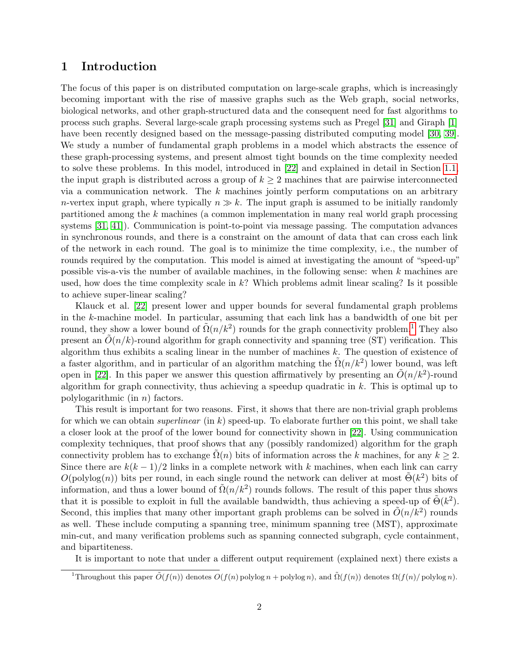### 1 Introduction

The focus of this paper is on distributed computation on large-scale graphs, which is increasingly becoming important with the rise of massive graphs such as the Web graph, social networks, biological networks, and other graph-structured data and the consequent need for fast algorithms to process such graphs. Several large-scale graph processing systems such as Pregel [\[31\]](#page-21-0) and Giraph [\[1\]](#page-19-0) have been recently designed based on the message-passing distributed computing model [\[30,](#page-21-1) [39\]](#page-21-2). We study a number of fundamental graph problems in a model which abstracts the essence of these graph-processing systems, and present almost tight bounds on the time complexity needed to solve these problems. In this model, introduced in [\[22\]](#page-20-0) and explained in detail in Section [1.1,](#page-2-0) the input graph is distributed across a group of  $k \geq 2$  machines that are pairwise interconnected via a communication network. The  $k$  machines jointly perform computations on an arbitrary *n*-vertex input graph, where typically  $n \gg k$ . The input graph is assumed to be initially randomly partitioned among the k machines (a common implementation in many real world graph processing systems [\[31,](#page-21-0) [41\]](#page-22-0)). Communication is point-to-point via message passing. The computation advances in synchronous rounds, and there is a constraint on the amount of data that can cross each link of the network in each round. The goal is to minimize the time complexity, i.e., the number of rounds required by the computation. This model is aimed at investigating the amount of "speed-up" possible vis-a-vis the number of available machines, in the following sense: when k machines are used, how does the time complexity scale in  $k$ ? Which problems admit linear scaling? Is it possible to achieve super-linear scaling?

Klauck et al. [\[22\]](#page-20-0) present lower and upper bounds for several fundamental graph problems in the  $k$ -machine model. In particular, assuming that each link has a bandwidth of one bit per round, they show a lower bound of  $\tilde{\Omega}(n/k^2)$  rounds for the graph connectivity problem.<sup>[1](#page-1-0)</sup> They also present an  $\tilde{O}(n/k)$ -round algorithm for graph connectivity and spanning tree (ST) verification. This algorithm thus exhibits a scaling linear in the number of machines  $k$ . The question of existence of a faster algorithm, and in particular of an algorithm matching the  $\tilde{\Omega}(n/k^2)$  lower bound, was left open in [\[22\]](#page-20-0). In this paper we answer this question affirmatively by presenting an  $\tilde{O}(n/k^2)$ -round algorithm for graph connectivity, thus achieving a speedup quadratic in  $k$ . This is optimal up to polylogarithmic (in  $n$ ) factors.

This result is important for two reasons. First, it shows that there are non-trivial graph problems for which we can obtain *superlinear* (in k) speed-up. To elaborate further on this point, we shall take a closer look at the proof of the lower bound for connectivity shown in [\[22\]](#page-20-0). Using communication complexity techniques, that proof shows that any (possibly randomized) algorithm for the graph connectivity problem has to exchange  $\Omega(n)$  bits of information across the k machines, for any  $k \geq 2$ . Since there are  $k(k-1)/2$  links in a complete network with k machines, when each link can carry  $O(polylog(n))$  bits per round, in each single round the network can deliver at most  $\tilde{\Theta}(k^2)$  bits of information, and thus a lower bound of  $\tilde{\Omega}(n/k^2)$  rounds follows. The result of this paper thus shows that it is possible to exploit in full the available bandwidth, thus achieving a speed-up of  $\tilde{\Theta}(k^2)$ . Second, this implies that many other important graph problems can be solved in  $\tilde{O}(n/k^2)$  rounds as well. These include computing a spanning tree, minimum spanning tree (MST), approximate min-cut, and many verification problems such as spanning connected subgraph, cycle containment, and bipartiteness.

It is important to note that under a different output requirement (explained next) there exists a

<span id="page-1-0"></span><sup>&</sup>lt;sup>1</sup>Throughout this paper  $\tilde{O}(f(n))$  denotes  $O(f(n)$  polylog n + polylog n), and  $\tilde{\Omega}(f(n))$  denotes  $\Omega(f(n)/$  polylog n).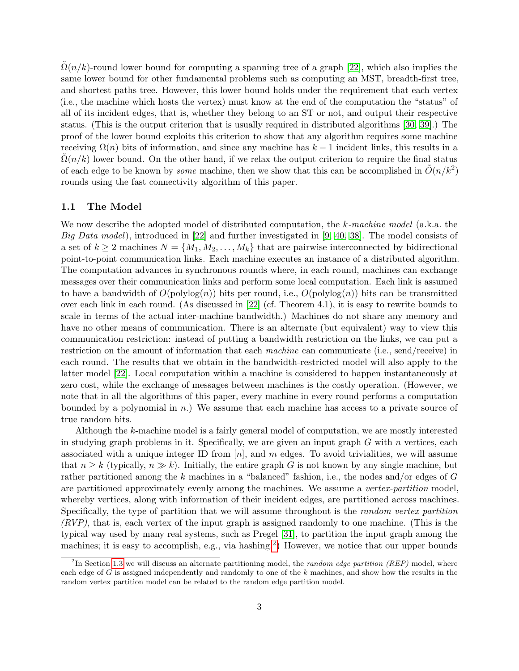$\Omega(n/k)$ -round lower bound for computing a spanning tree of a graph [\[22\]](#page-20-0), which also implies the same lower bound for other fundamental problems such as computing an MST, breadth-first tree, and shortest paths tree. However, this lower bound holds under the requirement that each vertex (i.e., the machine which hosts the vertex) must know at the end of the computation the "status" of all of its incident edges, that is, whether they belong to an ST or not, and output their respective status. (This is the output criterion that is usually required in distributed algorithms [\[30,](#page-21-1) [39\]](#page-21-2).) The proof of the lower bound exploits this criterion to show that any algorithm requires some machine receiving  $\Omega(n)$  bits of information, and since any machine has  $k-1$  incident links, this results in a  $\Omega(n/k)$  lower bound. On the other hand, if we relax the output criterion to require the final status of each edge to be known by *some* machine, then we show that this can be accomplished in  $\tilde{O}(n/k^2)$ rounds using the fast connectivity algorithm of this paper.

#### <span id="page-2-0"></span>1.1 The Model

We now describe the adopted model of distributed computation, the k-machine model (a.k.a. the Big Data model), introduced in [\[22\]](#page-20-0) and further investigated in [\[9,](#page-19-1) [40,](#page-22-1) [38\]](#page-21-3). The model consists of a set of  $k \geq 2$  machines  $N = \{M_1, M_2, \ldots, M_k\}$  that are pairwise interconnected by bidirectional point-to-point communication links. Each machine executes an instance of a distributed algorithm. The computation advances in synchronous rounds where, in each round, machines can exchange messages over their communication links and perform some local computation. Each link is assumed to have a bandwidth of  $O(polylog(n))$  bits per round, i.e.,  $O(polylog(n))$  bits can be transmitted over each link in each round. (As discussed in [\[22\]](#page-20-0) (cf. Theorem 4.1), it is easy to rewrite bounds to scale in terms of the actual inter-machine bandwidth.) Machines do not share any memory and have no other means of communication. There is an alternate (but equivalent) way to view this communication restriction: instead of putting a bandwidth restriction on the links, we can put a restriction on the amount of information that each machine can communicate (i.e., send/receive) in each round. The results that we obtain in the bandwidth-restricted model will also apply to the latter model [\[22\]](#page-20-0). Local computation within a machine is considered to happen instantaneously at zero cost, while the exchange of messages between machines is the costly operation. (However, we note that in all the algorithms of this paper, every machine in every round performs a computation bounded by a polynomial in n.) We assume that each machine has access to a private source of true random bits.

Although the k-machine model is a fairly general model of computation, we are mostly interested in studying graph problems in it. Specifically, we are given an input graph  $G$  with  $n$  vertices, each associated with a unique integer ID from  $[n]$ , and m edges. To avoid trivialities, we will assume that  $n \geq k$  (typically,  $n \gg k$ ). Initially, the entire graph G is not known by any single machine, but rather partitioned among the k machines in a "balanced" fashion, i.e., the nodes and/or edges of G are partitioned approximately evenly among the machines. We assume a vertex-partition model, whereby vertices, along with information of their incident edges, are partitioned across machines. Specifically, the type of partition that we will assume throughout is the random vertex partition  $(RVP)$ , that is, each vertex of the input graph is assigned randomly to one machine. (This is the typical way used by many real systems, such as Pregel [\[31\]](#page-21-0), to partition the input graph among the machines; it is easy to accomplish, e.g., via hashing.<sup>[2](#page-2-1)</sup>) However, we notice that our upper bounds

<span id="page-2-1"></span><sup>&</sup>lt;sup>2</sup>In Section [1.3](#page-5-0) we will discuss an alternate partitioning model, the *random edge partition (REP)* model, where each edge of G is assigned independently and randomly to one of the  $k$  machines, and show how the results in the random vertex partition model can be related to the random edge partition model.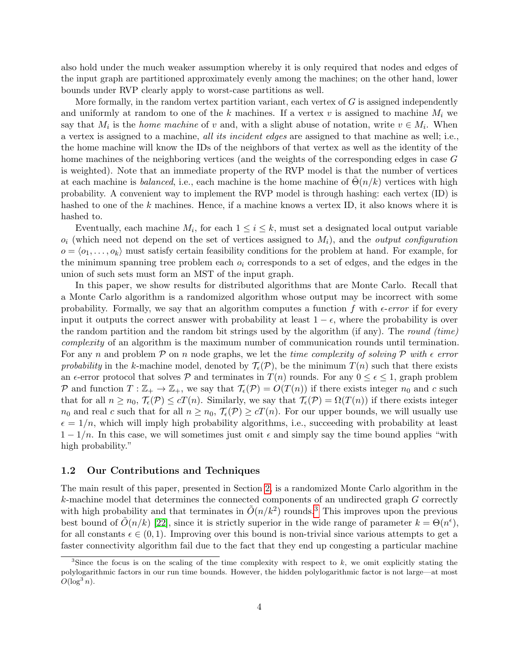also hold under the much weaker assumption whereby it is only required that nodes and edges of the input graph are partitioned approximately evenly among the machines; on the other hand, lower bounds under RVP clearly apply to worst-case partitions as well.

More formally, in the random vertex partition variant, each vertex of  $G$  is assigned independently and uniformly at random to one of the k machines. If a vertex v is assigned to machine  $M_i$  we say that  $M_i$  is the *home machine* of v and, with a slight abuse of notation, write  $v \in M_i$ . When a vertex is assigned to a machine, all its incident edges are assigned to that machine as well; i.e., the home machine will know the IDs of the neighbors of that vertex as well as the identity of the home machines of the neighboring vertices (and the weights of the corresponding edges in case G is weighted). Note that an immediate property of the RVP model is that the number of vertices at each machine is balanced, i.e., each machine is the home machine of  $\Theta(n/k)$  vertices with high probability. A convenient way to implement the RVP model is through hashing: each vertex (ID) is hashed to one of the k machines. Hence, if a machine knows a vertex ID, it also knows where it is hashed to.

Eventually, each machine  $M_i$ , for each  $1 \leq i \leq k$ , must set a designated local output variable  $o_i$  (which need not depend on the set of vertices assigned to  $M_i$ ), and the *output configuration*  $o = \langle o_1, \ldots, o_k \rangle$  must satisfy certain feasibility conditions for the problem at hand. For example, for the minimum spanning tree problem each  $o_i$  corresponds to a set of edges, and the edges in the union of such sets must form an MST of the input graph.

In this paper, we show results for distributed algorithms that are Monte Carlo. Recall that a Monte Carlo algorithm is a randomized algorithm whose output may be incorrect with some probability. Formally, we say that an algorithm computes a function f with  $\epsilon$ -error if for every input it outputs the correct answer with probability at least  $1 - \epsilon$ , where the probability is over the random partition and the random bit strings used by the algorithm (if any). The round (time) complexity of an algorithm is the maximum number of communication rounds until termination. For any n and problem  $P$  on n node graphs, we let the *time complexity of solving*  $P$  with  $\epsilon$  error probability in the k-machine model, denoted by  $\mathcal{T}_{\epsilon}(\mathcal{P})$ , be the minimum  $T(n)$  such that there exists an  $\epsilon$ -error protocol that solves P and terminates in  $T(n)$  rounds. For any  $0 \leq \epsilon \leq 1$ , graph problem P and function  $T: \mathbb{Z}_+ \to \mathbb{Z}_+$ , we say that  $\mathcal{T}_{\epsilon}(\mathcal{P}) = O(T(n))$  if there exists integer  $n_0$  and c such that for all  $n \ge n_0$ ,  $\mathcal{T}_{\epsilon}(\mathcal{P}) \le cT(n)$ . Similarly, we say that  $\mathcal{T}_{\epsilon}(\mathcal{P}) = \Omega(T(n))$  if there exists integer  $n_0$  and real c such that for all  $n \geq n_0$ ,  $\mathcal{T}_{\epsilon}(\mathcal{P}) \geq cT(n)$ . For our upper bounds, we will usually use  $\epsilon = 1/n$ , which will imply high probability algorithms, i.e., succeeding with probability at least  $1 - 1/n$ . In this case, we will sometimes just omit  $\epsilon$  and simply say the time bound applies "with high probability."

### 1.2 Our Contributions and Techniques

The main result of this paper, presented in Section [2,](#page-6-0) is a randomized Monte Carlo algorithm in the  $k$ -machine model that determines the connected components of an undirected graph  $G$  correctly with high probability and that terminates in  $\tilde{O}(n/k^2)$  rounds.<sup>[3](#page-3-0)</sup> This improves upon the previous best bound of  $\tilde{O}(n/k)$  [\[22\]](#page-20-0), since it is strictly superior in the wide range of parameter  $k = \Theta(n^{\epsilon}),$ for all constants  $\epsilon \in (0, 1)$ . Improving over this bound is non-trivial since various attempts to get a faster connectivity algorithm fail due to the fact that they end up congesting a particular machine

<span id="page-3-0"></span><sup>&</sup>lt;sup>3</sup>Since the focus is on the scaling of the time complexity with respect to  $k$ , we omit explicitly stating the polylogarithmic factors in our run time bounds. However, the hidden polylogarithmic factor is not large—at most  $O(\log^3 n)$ .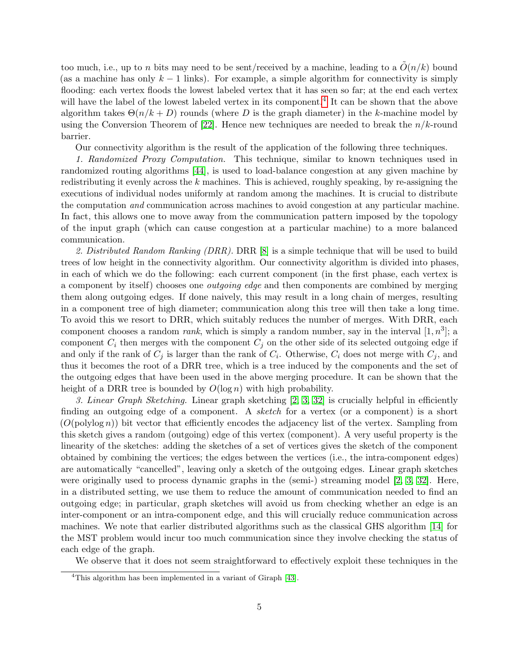too much, i.e., up to n bits may need to be sent/received by a machine, leading to a  $O(n/k)$  bound (as a machine has only  $k-1$  links). For example, a simple algorithm for connectivity is simply flooding: each vertex floods the lowest labeled vertex that it has seen so far; at the end each vertex will have the label of the lowest labeled vertex in its component.<sup>[4](#page-4-0)</sup> It can be shown that the above algorithm takes  $\Theta(n/k+D)$  rounds (where D is the graph diameter) in the k-machine model by using the Conversion Theorem of [\[22\]](#page-20-0). Hence new techniques are needed to break the  $n/k$ -round barrier.

Our connectivity algorithm is the result of the application of the following three techniques.

1. Randomized Proxy Computation. This technique, similar to known techniques used in randomized routing algorithms [\[44\]](#page-22-2), is used to load-balance congestion at any given machine by redistributing it evenly across the  $k$  machines. This is achieved, roughly speaking, by re-assigning the executions of individual nodes uniformly at random among the machines. It is crucial to distribute the computation and communication across machines to avoid congestion at any particular machine. In fact, this allows one to move away from the communication pattern imposed by the topology of the input graph (which can cause congestion at a particular machine) to a more balanced communication.

2. Distributed Random Ranking  $(DRR)$ . DRR  $[8]$  is a simple technique that will be used to build trees of low height in the connectivity algorithm. Our connectivity algorithm is divided into phases, in each of which we do the following: each current component (in the first phase, each vertex is a component by itself) chooses one outgoing edge and then components are combined by merging them along outgoing edges. If done naively, this may result in a long chain of merges, resulting in a component tree of high diameter; communication along this tree will then take a long time. To avoid this we resort to DRR, which suitably reduces the number of merges. With DRR, each component chooses a random *rank*, which is simply a random number, say in the interval  $[1, n^3]$ ; a component  $C_i$  then merges with the component  $C_j$  on the other side of its selected outgoing edge if and only if the rank of  $C_j$  is larger than the rank of  $C_i$ . Otherwise,  $C_i$  does not merge with  $C_j$ , and thus it becomes the root of a DRR tree, which is a tree induced by the components and the set of the outgoing edges that have been used in the above merging procedure. It can be shown that the height of a DRR tree is bounded by  $O(\log n)$  with high probability.

3. Linear Graph Sketching. Linear graph sketching [\[2,](#page-19-3) [3,](#page-19-4) [32\]](#page-21-4) is crucially helpful in efficiently finding an outgoing edge of a component. A sketch for a vertex (or a component) is a short  $(O(\text{polylog } n))$  bit vector that efficiently encodes the adjacency list of the vertex. Sampling from this sketch gives a random (outgoing) edge of this vertex (component). A very useful property is the linearity of the sketches: adding the sketches of a set of vertices gives the sketch of the component obtained by combining the vertices; the edges between the vertices (i.e., the intra-component edges) are automatically "cancelled", leaving only a sketch of the outgoing edges. Linear graph sketches were originally used to process dynamic graphs in the (semi-) streaming model [\[2,](#page-19-3) [3,](#page-19-4) [32\]](#page-21-4). Here, in a distributed setting, we use them to reduce the amount of communication needed to find an outgoing edge; in particular, graph sketches will avoid us from checking whether an edge is an inter-component or an intra-component edge, and this will crucially reduce communication across machines. We note that earlier distributed algorithms such as the classical GHS algorithm [\[14\]](#page-20-1) for the MST problem would incur too much communication since they involve checking the status of each edge of the graph.

We observe that it does not seem straightforward to effectively exploit these techniques in the

<span id="page-4-0"></span><sup>4</sup>This algorithm has been implemented in a variant of Giraph [\[43\]](#page-22-3).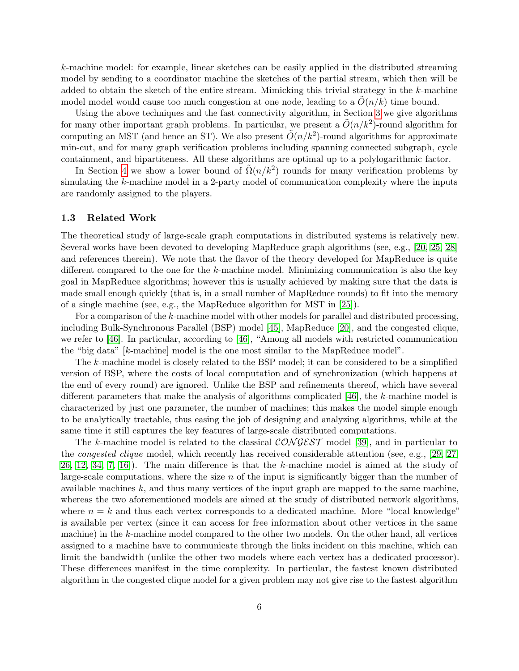k-machine model: for example, linear sketches can be easily applied in the distributed streaming model by sending to a coordinator machine the sketches of the partial stream, which then will be added to obtain the sketch of the entire stream. Mimicking this trivial strategy in the  $k$ -machine model model would cause too much congestion at one node, leading to a  $O(n/k)$  time bound.

Using the above techniques and the fast connectivity algorithm, in Section [3](#page-14-0) we give algorithms for many other important graph problems. In particular, we present a  $\tilde{O}(n/k^2)$ -round algorithm for computing an MST (and hence an ST). We also present  $\tilde{O}(n/k^2)$ -round algorithms for approximate min-cut, and for many graph verification problems including spanning connected subgraph, cycle containment, and bipartiteness. All these algorithms are optimal up to a polylogarithmic factor.

In Section [4](#page-16-0) we show a lower bound of  $\tilde{\Omega}(n/k^2)$  rounds for many verification problems by simulating the k-machine model in a 2-party model of communication complexity where the inputs are randomly assigned to the players.

### <span id="page-5-0"></span>1.3 Related Work

The theoretical study of large-scale graph computations in distributed systems is relatively new. Several works have been devoted to developing MapReduce graph algorithms (see, e.g., [\[20,](#page-20-2) [25,](#page-21-5) [28\]](#page-21-6) and references therein). We note that the flavor of the theory developed for MapReduce is quite different compared to the one for the k-machine model. Minimizing communication is also the key goal in MapReduce algorithms; however this is usually achieved by making sure that the data is made small enough quickly (that is, in a small number of MapReduce rounds) to fit into the memory of a single machine (see, e.g., the MapReduce algorithm for MST in [\[25\]](#page-21-5)).

For a comparison of the k-machine model with other models for parallel and distributed processing, including Bulk-Synchronous Parallel (BSP) model [\[45\]](#page-22-4), MapReduce [\[20\]](#page-20-2), and the congested clique, we refer to [\[46\]](#page-22-5). In particular, according to [\[46\]](#page-22-5), "Among all models with restricted communication the "big data" [k-machine] model is the one most similar to the MapReduce model".

The k-machine model is closely related to the BSP model; it can be considered to be a simplified version of BSP, where the costs of local computation and of synchronization (which happens at the end of every round) are ignored. Unlike the BSP and refinements thereof, which have several different parameters that make the analysis of algorithms complicated  $[46]$ , the k-machine model is characterized by just one parameter, the number of machines; this makes the model simple enough to be analytically tractable, thus easing the job of designing and analyzing algorithms, while at the same time it still captures the key features of large-scale distributed computations.

The k-machine model is related to the classical  $\mathcal{CONGEST}$  model [\[39\]](#page-21-2), and in particular to the congested clique model, which recently has received considerable attention (see, e.g., [\[29,](#page-21-7) [27,](#page-21-8) [26,](#page-21-9) [12,](#page-20-3) [34,](#page-21-10) [7,](#page-19-5) [16\]](#page-20-4)). The main difference is that the k-machine model is aimed at the study of large-scale computations, where the size  $n$  of the input is significantly bigger than the number of available machines  $k$ , and thus many vertices of the input graph are mapped to the same machine, whereas the two aforementioned models are aimed at the study of distributed network algorithms, where  $n = k$  and thus each vertex corresponds to a dedicated machine. More "local knowledge" is available per vertex (since it can access for free information about other vertices in the same machine) in the k-machine model compared to the other two models. On the other hand, all vertices assigned to a machine have to communicate through the links incident on this machine, which can limit the bandwidth (unlike the other two models where each vertex has a dedicated processor). These differences manifest in the time complexity. In particular, the fastest known distributed algorithm in the congested clique model for a given problem may not give rise to the fastest algorithm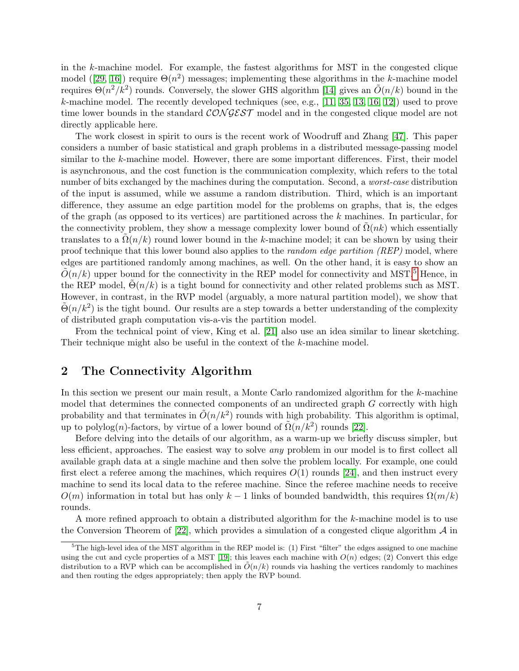in the k-machine model. For example, the fastest algorithms for MST in the congested clique model ([\[29,](#page-21-7) [16\]](#page-20-4)) require  $\Theta(n^2)$  messages; implementing these algorithms in the k-machine model requires  $\Theta(n^2/k^2)$  rounds. Conversely, the slower GHS algorithm [\[14\]](#page-20-1) gives an  $\tilde{O}(n/k)$  bound in the k-machine model. The recently developed techniques (see, e.g.,  $[11, 35, 13, 16, 12]$  $[11, 35, 13, 16, 12]$  $[11, 35, 13, 16, 12]$  $[11, 35, 13, 16, 12]$  $[11, 35, 13, 16, 12]$  $[11, 35, 13, 16, 12]$  $[11, 35, 13, 16, 12]$  $[11, 35, 13, 16, 12]$  $[11, 35, 13, 16, 12]$ ) used to prove time lower bounds in the standard  $\mathcal{CONGEST}$  model and in the congested clique model are not directly applicable here.

The work closest in spirit to ours is the recent work of Woodruff and Zhang [\[47\]](#page-22-6). This paper considers a number of basic statistical and graph problems in a distributed message-passing model similar to the k-machine model. However, there are some important differences. First, their model is asynchronous, and the cost function is the communication complexity, which refers to the total number of bits exchanged by the machines during the computation. Second, a worst-case distribution of the input is assumed, while we assume a random distribution. Third, which is an important difference, they assume an edge partition model for the problems on graphs, that is, the edges of the graph (as opposed to its vertices) are partitioned across the  $k$  machines. In particular, for the connectivity problem, they show a message complexity lower bound of  $\Omega(nk)$  which essentially translates to a  $\Omega(n/k)$  round lower bound in the k-machine model; it can be shown by using their proof technique that this lower bound also applies to the *random edge partition* (REP) model, where edges are partitioned randomly among machines, as well. On the other hand, it is easy to show an  $O(n/k)$  upper bound for the connectivity in the REP model for connectivity and MST.<sup>[5](#page-6-1)</sup> Hence, in the REP model,  $\Theta(n/k)$  is a tight bound for connectivity and other related problems such as MST. However, in contrast, in the RVP model (arguably, a more natural partition model), we show that  $\tilde{\Theta}(n/k^2)$  is the tight bound. Our results are a step towards a better understanding of the complexity of distributed graph computation vis-a-vis the partition model.

From the technical point of view, King et al. [\[21\]](#page-20-7) also use an idea similar to linear sketching. Their technique might also be useful in the context of the k-machine model.

### <span id="page-6-0"></span>2 The Connectivity Algorithm

In this section we present our main result, a Monte Carlo randomized algorithm for the k-machine model that determines the connected components of an undirected graph G correctly with high probability and that terminates in  $\tilde{O}(n/k^2)$  rounds with high probability. This algorithm is optimal, up to polylog(n)-factors, by virtue of a lower bound of  $\tilde{\Omega}(n/k^2)$  rounds [\[22\]](#page-20-0).

Before delving into the details of our algorithm, as a warm-up we briefly discuss simpler, but less efficient, approaches. The easiest way to solve any problem in our model is to first collect all available graph data at a single machine and then solve the problem locally. For example, one could first elect a referee among the machines, which requires  $O(1)$  rounds [\[24\]](#page-20-8), and then instruct every machine to send its local data to the referee machine. Since the referee machine needs to receive  $O(m)$  information in total but has only  $k-1$  links of bounded bandwidth, this requires  $\Omega(m/k)$ rounds.

A more refined approach to obtain a distributed algorithm for the k-machine model is to use the Conversion Theorem of  $[22]$ , which provides a simulation of a congested clique algorithm  $\mathcal A$  in

<span id="page-6-1"></span> ${}^{5}$ The high-level idea of the MST algorithm in the REP model is: (1) First "filter" the edges assigned to one machine using the cut and cycle properties of a MST [\[19\]](#page-20-9); this leaves each machine with  $O(n)$  edges; (2) Convert this edge distribution to a RVP which can be accomplished in  $O(n/k)$  rounds via hashing the vertices randomly to machines and then routing the edges appropriately; then apply the RVP bound.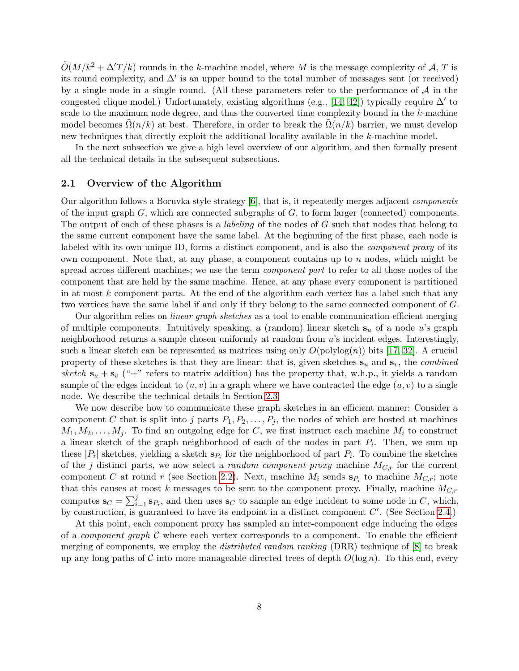$\tilde{O}(M/k^2 + \Delta'T / k)$  rounds in the k-machine model, where M is the message complexity of A, T is its round complexity, and  $\Delta'$  is an upper bound to the total number of messages sent (or received) by a single node in a single round. (All these parameters refer to the performance of  $A$  in the congested clique model.) Unfortunately, existing algorithms (e.g., [\[14,](#page-20-1) [42\]](#page-22-7)) typically require  $\Delta'$  to scale to the maximum node degree, and thus the converted time complexity bound in the k-machine model becomes  $\tilde{\Omega}(n/k)$  at best. Therefore, in order to break the  $\Omega(n/k)$  barrier, we must develop new techniques that directly exploit the additional locality available in the k-machine model.

In the next subsection we give a high level overview of our algorithm, and then formally present all the technical details in the subsequent subsections.

### 2.1 Overview of the Algorithm

Our algorithm follows a Boruvka-style strategy [\[6\]](#page-19-6), that is, it repeatedly merges adjacent components of the input graph  $G$ , which are connected subgraphs of  $G$ , to form larger (connected) components. The output of each of these phases is a *labeling* of the nodes of G such that nodes that belong to the same current component have the same label. At the beginning of the first phase, each node is labeled with its own unique ID, forms a distinct component, and is also the component proxy of its own component. Note that, at any phase, a component contains up to n nodes, which might be spread across different machines; we use the term *component part* to refer to all those nodes of the component that are held by the same machine. Hence, at any phase every component is partitioned in at most  $k$  component parts. At the end of the algorithm each vertex has a label such that any two vertices have the same label if and only if they belong to the same connected component of G.

Our algorithm relies on *linear graph sketches* as a tool to enable communication-efficient merging of multiple components. Intuitively speaking, a (random) linear sketch  $s_u$  of a node u's graph neighborhood returns a sample chosen uniformly at random from  $u$ 's incident edges. Interestingly, such a linear sketch can be represented as matrices using only  $O(polylog(n))$  bits [\[17,](#page-20-10) [32\]](#page-21-4). A crucial property of these sketches is that they are linear: that is, given sketches  $s_u$  and  $s_v$ , the *combined* sketch  $s_u + s_v$  ("+" refers to matrix addition) has the property that, w.h.p., it yields a random sample of the edges incident to  $(u, v)$  in a graph where we have contracted the edge  $(u, v)$  to a single node. We describe the technical details in Section [2.3.](#page-9-0)

We now describe how to communicate these graph sketches in an efficient manner: Consider a component C that is split into j parts  $P_1, P_2, \ldots, P_j$ , the nodes of which are hosted at machines  $M_1, M_2, \ldots, M_j$ . To find an outgoing edge for C, we first instruct each machine  $M_i$  to construct a linear sketch of the graph neighborhood of each of the nodes in part  $P_i$ . Then, we sum up these | $P_i$ | sketches, yielding a sketch  $\mathbf{s}_{P_i}$  for the neighborhood of part  $P_i$ . To combine the sketches of the j distinct parts, we now select a *random component proxy* machine  $M_{C,r}$  for the current component C at round r (see Section [2.2\)](#page-8-0). Next, machine  $M_i$  sends  $\mathbf{s}_{P_i}$  to machine  $M_{C,r}$ ; note that this causes at most k messages to be sent to the component proxy. Finally, machine  $M_{C,r}$ computes  $\mathbf{s}_C = \sum_{i=1}^j \mathbf{s}_{P_i}$ , and then uses  $\mathbf{s}_C$  to sample an edge incident to some node in C, which, by construction, is guaranteed to have its endpoint in a distinct component  $C'$ . (See Section [2.4.](#page-10-0))

At this point, each component proxy has sampled an inter-component edge inducing the edges of a *component graph*  $\mathcal C$  where each vertex corresponds to a component. To enable the efficient merging of components, we employ the *distributed random ranking* (DRR) technique of [\[8\]](#page-19-2) to break up any long paths of C into more manageable directed trees of depth  $O(\log n)$ . To this end, every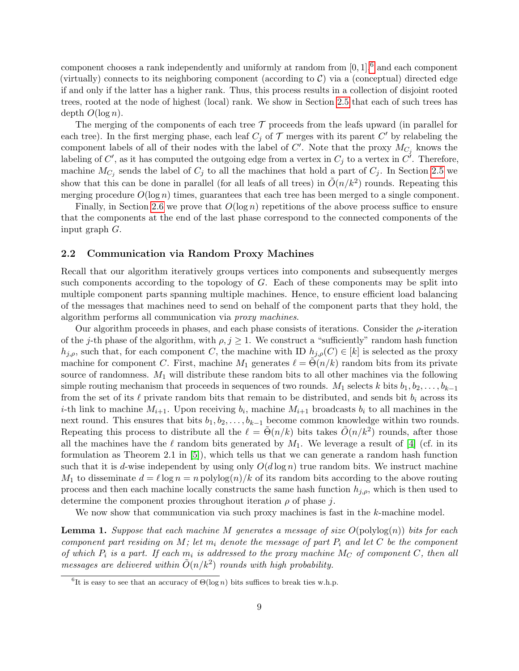component chooses a rank independently and uniformly at random from  $[0, 1]$ ,  $6$  and each component (virtually) connects to its neighboring component (according to  $C$ ) via a (conceptual) directed edge if and only if the latter has a higher rank. Thus, this process results in a collection of disjoint rooted trees, rooted at the node of highest (local) rank. We show in Section [2.5](#page-11-0) that each of such trees has depth  $O(\log n)$ .

The merging of the components of each tree  $\mathcal T$  proceeds from the leafs upward (in parallel for each tree). In the first merging phase, each leaf  $C_j$  of  $\mathcal T$  merges with its parent  $C'$  by relabeling the component labels of all of their nodes with the label of  $C'$ . Note that the proxy  $M_{C_j}$  knows the labeling of  $C'$ , as it has computed the outgoing edge from a vertex in  $C_j$  to a vertex in  $C'$ . Therefore, machine  $M_{C_j}$  sends the label of  $C_j$  to all the machines that hold a part of  $C_j$ . In Section [2.5](#page-11-0) we show that this can be done in parallel (for all leafs of all trees) in  $\tilde{O}(n/k^2)$  rounds. Repeating this merging procedure  $O(\log n)$  times, guarantees that each tree has been merged to a single component.

Finally, in Section [2.6](#page-12-0) we prove that  $O(\log n)$  repetitions of the above process suffice to ensure that the components at the end of the last phase correspond to the connected components of the input graph G.

### <span id="page-8-0"></span>2.2 Communication via Random Proxy Machines

Recall that our algorithm iteratively groups vertices into components and subsequently merges such components according to the topology of  $G$ . Each of these components may be split into multiple component parts spanning multiple machines. Hence, to ensure efficient load balancing of the messages that machines need to send on behalf of the component parts that they hold, the algorithm performs all communication via proxy machines.

Our algorithm proceeds in phases, and each phase consists of iterations. Consider the  $\rho$ -iteration of the j-th phase of the algorithm, with  $\rho, j \geq 1$ . We construct a "sufficiently" random hash function  $h_{i,o}$ , such that, for each component C, the machine with ID  $h_{i,o}(C) \in [k]$  is selected as the proxy machine for component C. First, machine  $M_1$  generates  $\ell = \Theta(n/k)$  random bits from its private source of randomness.  $M_1$  will distribute these random bits to all other machines via the following simple routing mechanism that proceeds in sequences of two rounds.  $M_1$  selects k bits  $b_1, b_2, \ldots, b_{k-1}$ from the set of its  $\ell$  private random bits that remain to be distributed, and sends bit  $b_i$  across its *i*-th link to machine  $M_{i+1}$ . Upon receiving  $b_i$ , machine  $M_{i+1}$  broadcasts  $b_i$  to all machines in the next round. This ensures that bits  $b_1, b_2, \ldots, b_{k-1}$  become common knowledge within two rounds. Repeating this process to distribute all the  $\ell = \tilde{\Theta}(n/k)$  bits takes  $\tilde{O}(n/k^2)$  rounds, after those all the machines have the  $\ell$  random bits generated by  $M_1$ . We leverage a result of [\[4\]](#page-19-7) (cf. in its formulation as Theorem 2.1 in  $[5]$ , which tells us that we can generate a random hash function such that it is d-wise independent by using only  $O(d \log n)$  true random bits. We instruct machine  $M_1$  to disseminate  $d = \ell \log n = n$  polylog $(n)/k$  of its random bits according to the above routing process and then each machine locally constructs the same hash function  $h_{i,o}$ , which is then used to determine the component proxies throughout iteration  $\rho$  of phase j.

We now show that communication via such proxy machines is fast in the k-machine model.

<span id="page-8-2"></span>**Lemma 1.** Suppose that each machine M generates a message of size  $O(\text{polylog}(n))$  bits for each component part residing on M; let  $m_i$  denote the message of part  $P_i$  and let C be the component of which  $P_i$  is a part. If each  $m_i$  is addressed to the proxy machine  $M_C$  of component  $C$ , then all messages are delivered within  $\tilde{O}(n/k^2)$  rounds with high probability.

<span id="page-8-1"></span><sup>&</sup>lt;sup>6</sup>It is easy to see that an accuracy of  $\Theta(\log n)$  bits suffices to break ties w.h.p.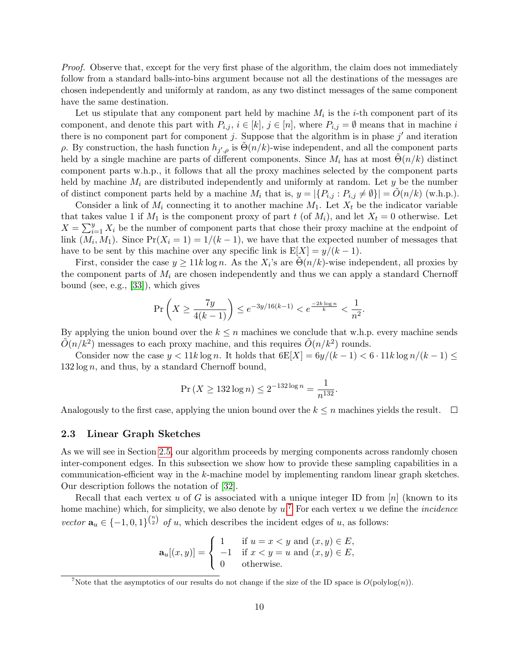Proof. Observe that, except for the very first phase of the algorithm, the claim does not immediately follow from a standard balls-into-bins argument because not all the destinations of the messages are chosen independently and uniformly at random, as any two distinct messages of the same component have the same destination.

Let us stipulate that any component part held by machine  $M_i$  is the *i*-th component part of its component, and denote this part with  $P_{i,j}$ ,  $i \in [k]$ ,  $j \in [n]$ , where  $P_{i,j} = \emptyset$  means that in machine i there is no component part for component j. Suppose that the algorithm is in phase  $j'$  and iteration ρ. By construction, the hash function  $h_{j',\rho}$  is  $\tilde{\Theta}(n/k)$ -wise independent, and all the component parts held by a single machine are parts of different components. Since  $M_i$  has at most  $\Theta(n/k)$  distinct component parts w.h.p., it follows that all the proxy machines selected by the component parts held by machine  $M_i$  are distributed independently and uniformly at random. Let y be the number of distinct component parts held by a machine  $M_i$  that is,  $y = |\{P_{i,j} : P_{i,j} \neq \emptyset\}| = \tilde{O}(n/k)$  (w.h.p.).

Consider a link of  $M_i$  connecting it to another machine  $M_1$ . Let  $X_t$  be the indicator variable that takes value 1 if  $M_1$  is the component proxy of part t (of  $M_i$ ), and let  $X_t = 0$  otherwise. Let  $X = \sum_{i=1}^{y} X_i$  be the number of component parts that chose their proxy machine at the endpoint of link  $(M_i, M_1)$ . Since  $Pr(X_i = 1) = 1/(k-1)$ , we have that the expected number of messages that have to be sent by this machine over any specific link is  $E[X] = y/(k-1)$ .

First, consider the case  $y \ge 11k \log n$ . As the  $X_i$ 's are  $\tilde{\Theta}(n/k)$ -wise independent, all proxies by the component parts of  $M_i$  are chosen independently and thus we can apply a standard Chernoff bound (see, e.g., [\[33\]](#page-21-12)), which gives

$$
\Pr\left(X \ge \frac{7y}{4(k-1)}\right) \le e^{-3y/16(k-1)} < e^{\frac{-2k\log n}{k}} < \frac{1}{n^2}.
$$

By applying the union bound over the  $k \leq n$  machines we conclude that w.h.p. every machine sends  $\tilde{O}(n/k^2)$  messages to each proxy machine, and this requires  $\tilde{O}(n/k^2)$  rounds.

Consider now the case  $y < 11k \log n$ . It holds that  $6E[X] = \frac{6y}{(k-1)} < 6 \cdot 11k \log n/(k-1) \le$  $132 \log n$ , and thus, by a standard Chernoff bound,

$$
\Pr\left(X \ge 132 \log n\right) \le 2^{-132 \log n} = \frac{1}{n^{132}}.
$$

Analogously to the first case, applying the union bound over the  $k \leq n$  machines yields the result.  $\Box$ 

#### <span id="page-9-0"></span>2.3 Linear Graph Sketches

As we will see in Section [2.5,](#page-11-0) our algorithm proceeds by merging components across randomly chosen inter-component edges. In this subsection we show how to provide these sampling capabilities in a communication-efficient way in the k-machine model by implementing random linear graph sketches. Our description follows the notation of [\[32\]](#page-21-4).

Recall that each vertex u of G is associated with a unique integer ID from  $[n]$  (known to its home machine) which, for simplicity, we also denote by  $u^{\mathcal{T}}$ . For each vertex u we define the *incidence* vector  $\mathbf{a}_u \in \{-1,0,1\}^{\binom{n}{2}}$  of u, which describes the incident edges of u, as follows:

$$
\mathbf{a}_{u}[(x,y)] = \begin{cases} 1 & \text{if } u = x < y \text{ and } (x,y) \in E, \\ -1 & \text{if } x < y = u \text{ and } (x,y) \in E, \\ 0 & \text{otherwise.} \end{cases}
$$

<span id="page-9-1"></span><sup>&</sup>lt;sup>7</sup>Note that the asymptotics of our results do not change if the size of the ID space is  $O(polylog(n))$ .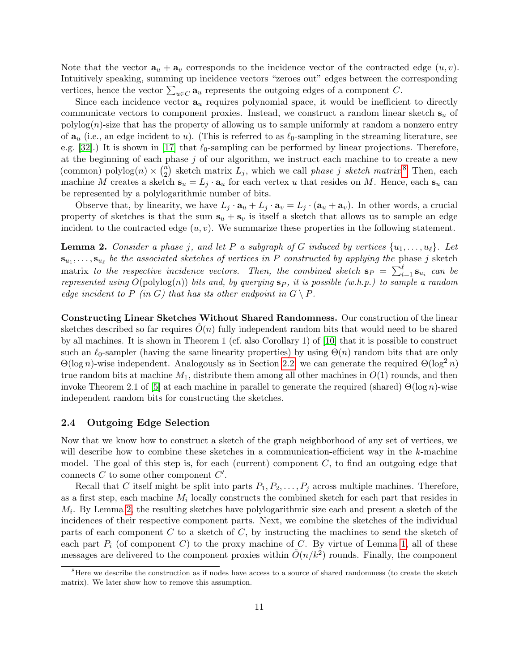Note that the vector  $\mathbf{a}_u + \mathbf{a}_v$  corresponds to the incidence vector of the contracted edge  $(u, v)$ . Intuitively speaking, summing up incidence vectors "zeroes out" edges between the corresponding vertices, hence the vector  $\sum_{u \in C} \mathbf{a}_u$  represents the outgoing edges of a component C.

Since each incidence vector  $a_u$  requires polynomial space, it would be inefficient to directly communicate vectors to component proxies. Instead, we construct a random linear sketch  $s_u$  of  $polylog(n)$ -size that has the property of allowing us to sample uniformly at random a nonzero entry of  $\mathbf{a}_u$  (i.e., an edge incident to u). (This is referred to as  $\ell_0$ -sampling in the streaming literature, see e.g. [\[32\]](#page-21-4).) It is shown in [\[17\]](#page-20-10) that  $\ell_0$ -sampling can be performed by linear projections. Therefore, at the beginning of each phase  $j$  of our algorithm, we instruct each machine to to create a new (common) polylog $(n) \times {n \choose 2}$  $\binom{n}{2}$  sketch matrix  $L_j$ , which we call *phase j sketch matrix*.<sup>[8](#page-10-1)</sup> Then, each machine M creates a sketch  $s_u = L_j \cdot a_u$  for each vertex u that resides on M. Hence, each  $s_u$  can be represented by a polylogarithmic number of bits.

Observe that, by linearity, we have  $L_j \cdot \mathbf{a}_u + L_j \cdot \mathbf{a}_v = L_j \cdot (\mathbf{a}_u + \mathbf{a}_v)$ . In other words, a crucial property of sketches is that the sum  $s_u + s_v$  is itself a sketch that allows us to sample an edge incident to the contracted edge  $(u, v)$ . We summarize these properties in the following statement.

<span id="page-10-2"></span>**Lemma 2.** Consider a phase j, and let P a subgraph of G induced by vertices  $\{u_1, \ldots, u_\ell\}$ . Let  $\mathbf{s}_{u_1}, \ldots, \mathbf{s}_{u_\ell}$  be the associated sketches of vertices in P constructed by applying the phase j sketch matrix to the respective incidence vectors. Then, the combined sketch  $s_P = \sum_{i=1}^{\ell} s_{u_i}$  can be represented using  $O(polylog(n))$  bits and, by querying  $s_P$ , it is possible (w.h.p.) to sample a random edge incident to P (in G) that has its other endpoint in  $G \setminus P$ .

Constructing Linear Sketches Without Shared Randomness. Our construction of the linear sketches described so far requires  $O(n)$  fully independent random bits that would need to be shared by all machines. It is shown in Theorem 1 (cf. also Corollary 1) of [\[10\]](#page-19-9) that it is possible to construct such an  $\ell_0$ -sampler (having the same linearity properties) by using  $\Theta(n)$  random bits that are only  $Θ(\log n)$ -wise independent. Analogously as in Section [2.2,](#page-8-0) we can generate the required  $Θ(\log^2 n)$ true random bits at machine  $M_1$ , distribute them among all other machines in  $O(1)$  rounds, and then invoke Theorem 2.1 of [\[5\]](#page-19-8) at each machine in parallel to generate the required (shared)  $\Theta(\log n)$ -wise independent random bits for constructing the sketches.

#### <span id="page-10-0"></span>2.4 Outgoing Edge Selection

Now that we know how to construct a sketch of the graph neighborhood of any set of vertices, we will describe how to combine these sketches in a communication-efficient way in the  $k$ -machine model. The goal of this step is, for each (current) component  $C$ , to find an outgoing edge that connects  $C$  to some other component  $C'$ .

Recall that C itself might be split into parts  $P_1, P_2, \ldots, P_j$  across multiple machines. Therefore, as a first step, each machine  $M_i$  locally constructs the combined sketch for each part that resides in  $M_i$ . By Lemma [2,](#page-10-2) the resulting sketches have polylogarithmic size each and present a sketch of the incidences of their respective component parts. Next, we combine the sketches of the individual parts of each component  $C$  to a sketch of  $C$ , by instructing the machines to send the sketch of each part  $P_i$  (of component C) to the proxy machine of C. By virtue of Lemma [1,](#page-8-2) all of these messages are delivered to the component proxies within  $\tilde{O}(n/k^2)$  rounds. Finally, the component

<span id="page-10-1"></span><sup>&</sup>lt;sup>8</sup>Here we describe the construction as if nodes have access to a source of shared randomness (to create the sketch matrix). We later show how to remove this assumption.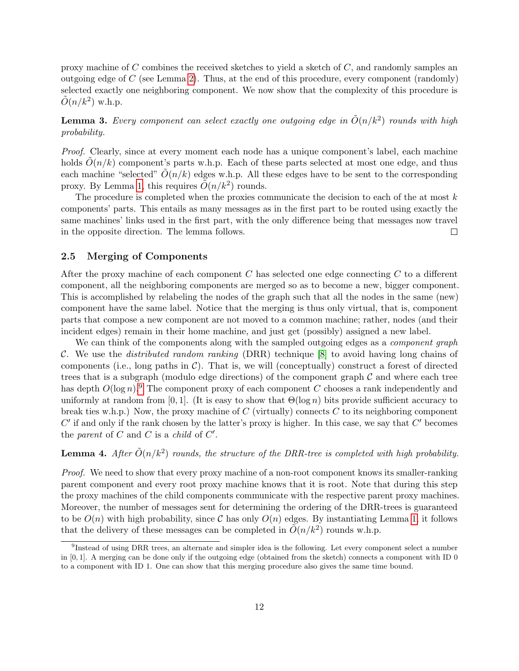proxy machine of  $C$  combines the received sketches to yield a sketch of  $C$ , and randomly samples an outgoing edge of  $C$  (see Lemma [2\)](#page-10-2). Thus, at the end of this procedure, every component (randomly) selected exactly one neighboring component. We now show that the complexity of this procedure is  $\tilde{O}(n/k^2)$  w.h.p.

<span id="page-11-3"></span>**Lemma 3.** Every component can select exactly one outgoing edge in  $\tilde{O}(n/k^2)$  rounds with high probability.

Proof. Clearly, since at every moment each node has a unique component's label, each machine holds  $O(n/k)$  component's parts w.h.p. Each of these parts selected at most one edge, and thus each machine "selected"  $\tilde{O}(n/k)$  edges w.h.p. All these edges have to be sent to the corresponding proxy. By Lemma [1,](#page-8-2) this requires  $\tilde{O}(n/k^2)$  rounds.

The procedure is completed when the proxies communicate the decision to each of the at most  $k$ components' parts. This entails as many messages as in the first part to be routed using exactly the same machines' links used in the first part, with the only difference being that messages now travel in the opposite direction. The lemma follows.  $\Box$ 

### <span id="page-11-0"></span>2.5 Merging of Components

After the proxy machine of each component  $C$  has selected one edge connecting  $C$  to a different component, all the neighboring components are merged so as to become a new, bigger component. This is accomplished by relabeling the nodes of the graph such that all the nodes in the same (new) component have the same label. Notice that the merging is thus only virtual, that is, component parts that compose a new component are not moved to a common machine; rather, nodes (and their incident edges) remain in their home machine, and just get (possibly) assigned a new label.

We can think of the components along with the sampled outgoing edges as a *component graph* C. We use the *distributed random ranking* (DRR) technique  $[8]$  to avoid having long chains of components (i.e., long paths in  $\mathcal{C}$ ). That is, we will (conceptually) construct a forest of directed trees that is a subgraph (modulo edge directions) of the component graph  $\mathcal C$  and where each tree has depth  $O(\log n)^9$  $O(\log n)^9$ . The component proxy of each component C chooses a rank independently and uniformly at random from [0, 1]. (It is easy to show that  $\Theta(\log n)$  bits provide sufficient accuracy to break ties w.h.p.) Now, the proxy machine of  $C$  (virtually) connects  $C$  to its neighboring component  $C'$  if and only if the rank chosen by the latter's proxy is higher. In this case, we say that  $C'$  becomes the parent of  $C$  and  $C$  is a child of  $C'$ .

### <span id="page-11-2"></span>**Lemma 4.** After  $\tilde{O}(n/k^2)$  rounds, the structure of the DRR-tree is completed with high probability.

Proof. We need to show that every proxy machine of a non-root component knows its smaller-ranking parent component and every root proxy machine knows that it is root. Note that during this step the proxy machines of the child components communicate with the respective parent proxy machines. Moreover, the number of messages sent for determining the ordering of the DRR-trees is guaranteed to be  $O(n)$  with high probability, since C has only  $O(n)$  edges. By instantiating Lemma [1,](#page-8-2) it follows that the delivery of these messages can be completed in  $\tilde{O}(n/k^2)$  rounds w.h.p.

<span id="page-11-1"></span><sup>&</sup>lt;sup>9</sup>Instead of using DRR trees, an alternate and simpler idea is the following. Let every component select a number in  $[0, 1]$ . A merging can be done only if the outgoing edge (obtained from the sketch) connects a component with ID 0 to a component with ID 1. One can show that this merging procedure also gives the same time bound.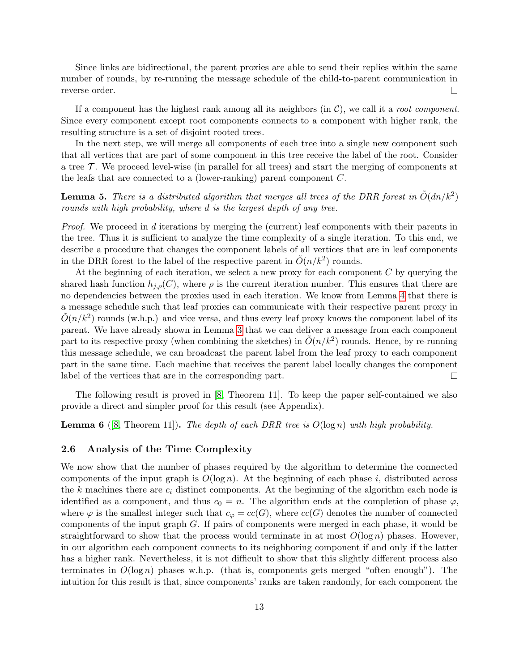Since links are bidirectional, the parent proxies are able to send their replies within the same number of rounds, by re-running the message schedule of the child-to-parent communication in reverse order.  $\Box$ 

If a component has the highest rank among all its neighbors (in  $\mathcal{C}$ ), we call it a root component. Since every component except root components connects to a component with higher rank, the resulting structure is a set of disjoint rooted trees.

In the next step, we will merge all components of each tree into a single new component such that all vertices that are part of some component in this tree receive the label of the root. Consider a tree  $\mathcal T$ . We proceed level-wise (in parallel for all trees) and start the merging of components at the leafs that are connected to a (lower-ranking) parent component C.

<span id="page-12-1"></span>**Lemma 5.** There is a distributed algorithm that merges all trees of the DRR forest in  $\tilde{O}(dn/k^2)$ rounds with high probability, where d is the largest depth of any tree.

Proof. We proceed in d iterations by merging the (current) leaf components with their parents in the tree. Thus it is sufficient to analyze the time complexity of a single iteration. To this end, we describe a procedure that changes the component labels of all vertices that are in leaf components in the DRR forest to the label of the respective parent in  $\tilde{O}(n/k^2)$  rounds.

At the beginning of each iteration, we select a new proxy for each component  $C$  by querying the shared hash function  $h_{i,o}(C)$ , where  $\rho$  is the current iteration number. This ensures that there are no dependencies between the proxies used in each iteration. We know from Lemma [4](#page-11-2) that there is a message schedule such that leaf proxies can communicate with their respective parent proxy in  $\tilde{O}(n/k^2)$  rounds (w.h.p.) and vice versa, and thus every leaf proxy knows the component label of its parent. We have already shown in Lemma [3](#page-11-3) that we can deliver a message from each component part to its respective proxy (when combining the sketches) in  $\tilde{O}(n/k^2)$  rounds. Hence, by re-running this message schedule, we can broadcast the parent label from the leaf proxy to each component part in the same time. Each machine that receives the parent label locally changes the component label of the vertices that are in the corresponding part.  $\Box$ 

The following result is proved in [\[8,](#page-19-2) Theorem 11]. To keep the paper self-contained we also provide a direct and simpler proof for this result (see Appendix).

<span id="page-12-2"></span>**Lemma 6** ([\[8,](#page-19-2) Theorem 11]). The depth of each DRR tree is  $O(\log n)$  with high probability.

#### <span id="page-12-0"></span>2.6 Analysis of the Time Complexity

We now show that the number of phases required by the algorithm to determine the connected components of the input graph is  $O(\log n)$ . At the beginning of each phase i, distributed across the k machines there are  $c_i$  distinct components. At the beginning of the algorithm each node is identified as a component, and thus  $c_0 = n$ . The algorithm ends at the completion of phase  $\varphi$ , where  $\varphi$  is the smallest integer such that  $c_{\varphi}=cc(G)$ , where  $cc(G)$  denotes the number of connected components of the input graph G. If pairs of components were merged in each phase, it would be straightforward to show that the process would terminate in at most  $O(\log n)$  phases. However, in our algorithm each component connects to its neighboring component if and only if the latter has a higher rank. Nevertheless, it is not difficult to show that this slightly different process also terminates in  $O(\log n)$  phases w.h.p. (that is, components gets merged "often enough"). The intuition for this result is that, since components' ranks are taken randomly, for each component the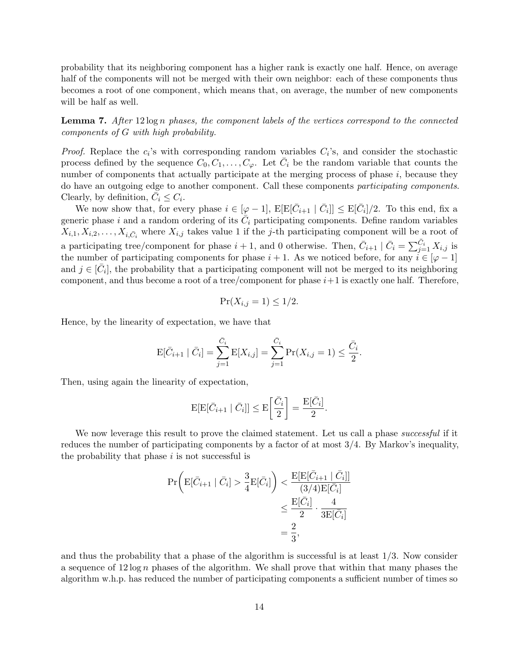probability that its neighboring component has a higher rank is exactly one half. Hence, on average half of the components will not be merged with their own neighbor: each of these components thus becomes a root of one component, which means that, on average, the number of new components will be half as well.

<span id="page-13-0"></span>**Lemma 7.** After  $12 \log n$  phases, the component labels of the vertices correspond to the connected components of G with high probability.

*Proof.* Replace the  $c_i$ 's with corresponding random variables  $C_i$ 's, and consider the stochastic process defined by the sequence  $C_0, C_1, \ldots, C_{\varphi}$ . Let  $\overline{C}_i$  be the random variable that counts the number of components that actually participate at the merging process of phase  $i$ , because they do have an outgoing edge to another component. Call these components participating components. Clearly, by definition,  $\bar{C}_i \leq C_i$ .

We now show that, for every phase  $i \in [\varphi - 1]$ ,  $E[E[\bar{C}_{i+1} | \bar{C}_i]] \le E[\bar{C}_i]/2$ . To this end, fix a generic phase i and a random ordering of its  $\overline{C}_i$  participating components. Define random variables  $X_{i,1}, X_{i,2}, \ldots, X_{i,\bar{C}_i}$  where  $X_{i,j}$  takes value 1 if the j-th participating component will be a root of a participating tree/component for phase  $i+1$ , and 0 otherwise. Then,  $\bar{C}_{i+1} \mid \bar{C}_i = \sum_{j=1}^{\bar{C}_i} X_{i,j}$  is the number of participating components for phase  $i + 1$ . As we noticed before, for any  $i \in [\varphi - 1]$ and  $j \in [\bar{C}_i]$ , the probability that a participating component will not be merged to its neighboring component, and thus become a root of a tree/component for phase  $i+1$  is exactly one half. Therefore,

$$
\Pr(X_{i,j} = 1) \le 1/2.
$$

Hence, by the linearity of expectation, we have that

$$
\mathcal{E}[\bar{C}_{i+1} | \bar{C}_i] = \sum_{j=1}^{\bar{C}_i} \mathcal{E}[X_{i,j}] = \sum_{j=1}^{\bar{C}_i} \Pr(X_{i,j} = 1) \le \frac{\bar{C}_i}{2}.
$$

Then, using again the linearity of expectation,

$$
\mathbb{E}[\mathbb{E}[\bar{C}_{i+1} | \bar{C}_{i}]] \le \mathbb{E}\left[\frac{\bar{C}_{i}}{2}\right] = \frac{\mathbb{E}[\bar{C}_{i}]}{2}.
$$

We now leverage this result to prove the claimed statement. Let us call a phase successful if it reduces the number of participating components by a factor of at most 3/4. By Markov's inequality, the probability that phase  $i$  is not successful is

$$
\Pr\left(\mathrm{E}[\bar{C}_{i+1} | \bar{C}_{i}] > \frac{3}{4} \mathrm{E}[\bar{C}_{i}] \right) < \frac{\mathrm{E}[\mathrm{E}[\bar{C}_{i+1} | \bar{C}_{i}]]}{(3/4)\mathrm{E}[\bar{C}_{i}]}
$$
  

$$
\leq \frac{\mathrm{E}[\bar{C}_{i}]}{2} \cdot \frac{4}{3\mathrm{E}[\bar{C}_{i}]} = \frac{2}{3},
$$

and thus the probability that a phase of the algorithm is successful is at least  $1/3$ . Now consider a sequence of  $12 \log n$  phases of the algorithm. We shall prove that within that many phases the algorithm w.h.p. has reduced the number of participating components a sufficient number of times so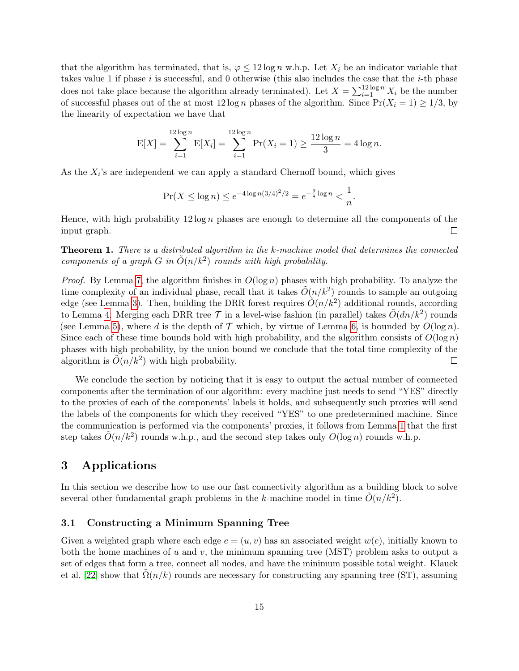that the algorithm has terminated, that is,  $\varphi \leq 12 \log n$  w.h.p. Let  $X_i$  be an indicator variable that takes value 1 if phase  $i$  is successful, and 0 otherwise (this also includes the case that the  $i$ -th phase does not take place because the algorithm already terminated). Let  $X = \sum_{i=1}^{12 \log n} X_i$  be the number of successful phases out of the at most  $12 \log n$  phases of the algorithm. Since  $Pr(X_i = 1) \ge 1/3$ , by the linearity of expectation we have that

$$
E[X] = \sum_{i=1}^{12 \log n} E[X_i] = \sum_{i=1}^{12 \log n} \Pr(X_i = 1) \ge \frac{12 \log n}{3} = 4 \log n.
$$

As the  $X_i$ 's are independent we can apply a standard Chernoff bound, which gives

$$
\Pr(X \le \log n) \le e^{-4\log n(3/4)^2/2} = e^{-\frac{9}{8}\log n} < \frac{1}{n}.
$$

Hence, with high probability  $12 \log n$  phases are enough to determine all the components of the input graph.  $\Box$ 

Theorem 1. There is a distributed algorithm in the k-machine model that determines the connected components of a graph G in  $\tilde{O}(n/k^2)$  rounds with high probability.

*Proof.* By Lemma [7,](#page-13-0) the algorithm finishes in  $O(\log n)$  phases with high probability. To analyze the time complexity of an individual phase, recall that it takes  $\tilde{O}(n/k^2)$  rounds to sample an outgoing edge (see Lemma [3\)](#page-11-3). Then, building the DRR forest requires  $\tilde{O}(n/k^2)$  additional rounds, according to Lemma [4.](#page-11-2) Merging each DRR tree  $\mathcal T$  in a level-wise fashion (in parallel) takes  $\tilde O(dn/k^2)$  rounds (see Lemma [5\)](#page-12-1), where d is the depth of  $\mathcal T$  which, by virtue of Lemma [6,](#page-12-2) is bounded by  $O(\log n)$ . Since each of these time bounds hold with high probability, and the algorithm consists of  $O(\log n)$ phases with high probability, by the union bound we conclude that the total time complexity of the algorithm is  $\tilde{O}(n/k^2)$  with high probability.  $\Box$ 

We conclude the section by noticing that it is easy to output the actual number of connected components after the termination of our algorithm: every machine just needs to send "YES" directly to the proxies of each of the components' labels it holds, and subsequently such proxies will send the labels of the components for which they received "YES" to one predetermined machine. Since the communication is performed via the components' proxies, it follows from Lemma [1](#page-8-2) that the first step takes  $\tilde{O}(n/k^2)$  rounds w.h.p., and the second step takes only  $O(\log n)$  rounds w.h.p.

### <span id="page-14-0"></span>3 Applications

In this section we describe how to use our fast connectivity algorithm as a building block to solve several other fundamental graph problems in the k-machine model in time  $\tilde{O}(n/k^2)$ .

### 3.1 Constructing a Minimum Spanning Tree

Given a weighted graph where each edge  $e = (u, v)$  has an associated weight  $w(e)$ , initially known to both the home machines of u and v, the minimum spanning tree (MST) problem asks to output a set of edges that form a tree, connect all nodes, and have the minimum possible total weight. Klauck et al. [\[22\]](#page-20-0) show that  $\Omega(n/k)$  rounds are necessary for constructing any spanning tree (ST), assuming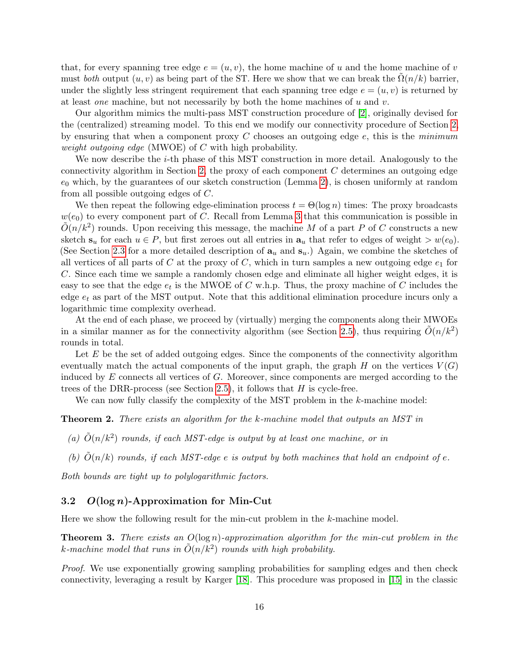that, for every spanning tree edge  $e = (u, v)$ , the home machine of u and the home machine of v must both output  $(u, v)$  as being part of the ST. Here we show that we can break the  $\Omega(n/k)$  barrier, under the slightly less stringent requirement that each spanning tree edge  $e = (u, v)$  is returned by at least *one* machine, but not necessarily by both the home machines of  $u$  and  $v$ .

Our algorithm mimics the multi-pass MST construction procedure of [\[2\]](#page-19-3), originally devised for the (centralized) streaming model. To this end we modify our connectivity procedure of Section [2,](#page-6-0) by ensuring that when a component proxy  $C$  chooses an outgoing edge  $e$ , this is the minimum weight outgoing edge (MWOE) of  $C$  with high probability.

We now describe the *i*-th phase of this MST construction in more detail. Analogously to the connectivity algorithm in Section [2,](#page-6-0) the proxy of each component  $C$  determines an outgoing edge  $e_0$  which, by the guarantees of our sketch construction (Lemma [2\)](#page-10-2), is chosen uniformly at random from all possible outgoing edges of C.

We then repeat the following edge-elimination process  $t = \Theta(\log n)$  times: The proxy broadcasts  $w(e_0)$  to every component part of C. Recall from Lemma [3](#page-11-3) that this communication is possible in  $\tilde{O}(n/k^2)$  rounds. Upon receiving this message, the machine M of a part P of C constructs a new sketch  $s_u$  for each  $u \in P$ , but first zeroes out all entries in  $a_u$  that refer to edges of weight  $> w(e_0)$ . (See Section [2.3](#page-9-0) for a more detailed description of  $a_u$  and  $s_u$ .) Again, we combine the sketches of all vertices of all parts of C at the proxy of C, which in turn samples a new outgoing edge  $e_1$  for C. Since each time we sample a randomly chosen edge and eliminate all higher weight edges, it is easy to see that the edge  $e_t$  is the MWOE of C w.h.p. Thus, the proxy machine of C includes the edge  $e_t$  as part of the MST output. Note that this additional elimination procedure incurs only a logarithmic time complexity overhead.

At the end of each phase, we proceed by (virtually) merging the components along their MWOEs in a similar manner as for the connectivity algorithm (see Section [2.5\)](#page-11-0), thus requiring  $\tilde{O}(n/k^2)$ rounds in total.

Let  $E$  be the set of added outgoing edges. Since the components of the connectivity algorithm eventually match the actual components of the input graph, the graph H on the vertices  $V(G)$ induced by  $E$  connects all vertices of  $G$ . Moreover, since components are merged according to the trees of the DRR-process (see Section [2.5\)](#page-11-0), it follows that  $H$  is cycle-free.

We can now fully classify the complexity of the MST problem in the k-machine model:

**Theorem 2.** There exists an algorithm for the k-machine model that outputs an MST in

- (a)  $\tilde{O}(n/k^2)$  rounds, if each MST-edge is output by at least one machine, or in
- (b)  $\tilde{O}(n/k)$  rounds, if each MST-edge e is output by both machines that hold an endpoint of e.

Both bounds are tight up to polylogarithmic factors.

### 3.2  $O(\log n)$ -Approximation for Min-Cut

Here we show the following result for the min-cut problem in the k-machine model.

**Theorem 3.** There exists an  $O(\log n)$ -approximation algorithm for the min-cut problem in the k-machine model that runs in  $\tilde{O}(n/k^2)$  rounds with high probability.

Proof. We use exponentially growing sampling probabilities for sampling edges and then check connectivity, leveraging a result by Karger [\[18\]](#page-20-11). This procedure was proposed in [\[15\]](#page-20-12) in the classic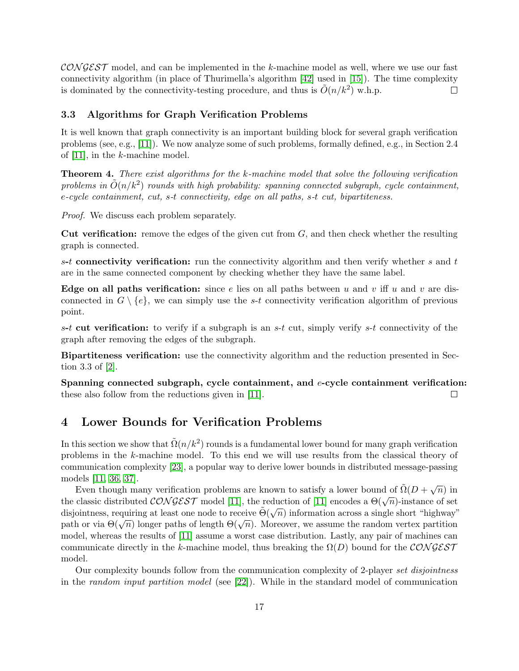$\mathcal{CONGEST}$  model, and can be implemented in the k-machine model as well, where we use our fast connectivity algorithm (in place of Thurimella's algorithm [\[42\]](#page-22-7) used in [\[15\]](#page-20-12)). The time complexity is dominated by the connectivity-testing procedure, and thus is  $\tilde{O}(n/k^2)$  w.h.p.  $\Box$ 

### 3.3 Algorithms for Graph Verification Problems

It is well known that graph connectivity is an important building block for several graph verification problems (see, e.g., [\[11\]](#page-20-5)). We now analyze some of such problems, formally defined, e.g., in Section 2.4 of [\[11\]](#page-20-5), in the k-machine model.

Theorem 4. There exist algorithms for the k-machine model that solve the following verification problems in  $\tilde{O}(n/k^2)$  rounds with high probability: spanning connected subgraph, cycle containment, e-cycle containment, cut, s-t connectivity, edge on all paths, s-t cut, bipartiteness.

Proof. We discuss each problem separately.

**Cut verification:** remove the edges of the given cut from  $G$ , and then check whether the resulting graph is connected.

s-t connectivity verification: run the connectivity algorithm and then verify whether s and t are in the same connected component by checking whether they have the same label.

Edge on all paths verification: since e lies on all paths between u and v iff u and v are disconnected in  $G \setminus \{e\}$ , we can simply use the s-t connectivity verification algorithm of previous point.

s-t cut verification: to verify if a subgraph is an s-t cut, simply verify s-t connectivity of the graph after removing the edges of the subgraph.

Bipartiteness verification: use the connectivity algorithm and the reduction presented in Section 3.3 of [\[2\]](#page-19-3).

Spanning connected subgraph, cycle containment, and e-cycle containment verification: these also follow from the reductions given in [\[11\]](#page-20-5).  $\Box$ 

### <span id="page-16-0"></span>4 Lower Bounds for Verification Problems

In this section we show that  $\tilde{\Omega}(n/k^2)$  rounds is a fundamental lower bound for many graph verification problems in the k-machine model. To this end we will use results from the classical theory of communication complexity [\[23\]](#page-20-13), a popular way to derive lower bounds in distributed message-passing models [\[11,](#page-20-5) [36,](#page-21-13) [37\]](#page-21-14).

Even though many verification problems are known to satisfy a lower bound of  $\tilde{\Omega}(D + \sqrt{\frac{D}{D}})$  $\overline{n})$  in Even though many vermeation problems are known to satisfy a lower bound of  $\Omega(D + \sqrt{n})$  in<br>the classic distributed  $\mathcal{CONGEST}$  model [\[11\]](#page-20-5), the reduction of [11] encodes a  $\Theta(\sqrt{n})$ -instance of set disjointness, requiring at least one node to receive  $\tilde{\Theta}(\sqrt{n})$  information across a single short "highway" disjointness, requiring at least one node to receive  $\Theta(\sqrt{n})$  information across a single short inghway<br>path or via  $\Theta(\sqrt{n})$  longer paths of length  $\Theta(\sqrt{n})$ . Moreover, we assume the random vertex partition model, whereas the results of [\[11\]](#page-20-5) assume a worst case distribution. Lastly, any pair of machines can communicate directly in the k-machine model, thus breaking the  $\Omega(D)$  bound for the CONGEST model.

Our complexity bounds follow from the communication complexity of 2-player set disjointness in the random input partition model (see [\[22\]](#page-20-0)). While in the standard model of communication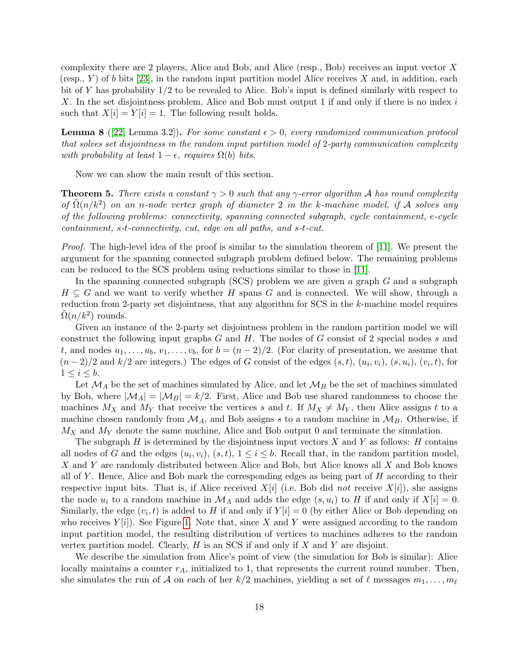complexity there are 2 players, Alice and Bob, and Alice (resp., Bob) receives an input vector X (resp., Y) of b bits [\[23\]](#page-20-13), in the random input partition model Alice receives X and, in addition, each bit of Y has probability 1/2 to be revealed to Alice. Bob's input is defined similarly with respect to X. In the set disjointness problem, Alice and Bob must output 1 if and only if there is no index i such that  $X[i] = Y[i] = 1$ . The following result holds.

<span id="page-17-0"></span>**Lemma 8** ([\[22,](#page-20-0) Lemma 3.2]). For some constant  $\epsilon > 0$ , every randomized communication protocol that solves set disjointness in the random input partition model of 2-party communication complexity with probability at least  $1 - \epsilon$ , requires  $\Omega(b)$  bits.

Now we can show the main result of this section.

**Theorem 5.** There exists a constant  $\gamma > 0$  such that any  $\gamma$ -error algorithm A has round complexity of  $\tilde{\Omega}(n/k^2)$  on an n-node vertex graph of diameter 2 in the k-machine model, if A solves any of the following problems: connectivity, spanning connected subgraph, cycle containment, e-cycle containment, s-t-connectivity, cut, edge on all paths, and s-t-cut.

Proof. The high-level idea of the proof is similar to the simulation theorem of [\[11\]](#page-20-5). We present the argument for the spanning connected subgraph problem defined below. The remaining problems can be reduced to the SCS problem using reductions similar to those in [\[11\]](#page-20-5).

In the spanning connected subgraph  $(SCS)$  problem we are given a graph  $G$  and a subgraph  $H \subseteq G$  and we want to verify whether H spans G and is connected. We will show, through a reduction from 2-party set disjointness, that any algorithm for SCS in the k-machine model requires  $\tilde{\Omega}(n/k^2)$  rounds.

Given an instance of the 2-party set disjointness problem in the random partition model we will construct the following input graphs  $G$  and  $H$ . The nodes of  $G$  consist of 2 special nodes  $s$  and t, and nodes  $u_1, \ldots, u_b, v_1, \ldots, v_b$ , for  $b = (n-2)/2$ . (For clarity of presentation, we assume that  $(n-2)/2$  and  $k/2$  are integers.) The edges of G consist of the edges  $(s,t)$ ,  $(u_i, v_i)$ ,  $(s, u_i)$ ,  $(v_i, t)$ , for  $1 \leq i \leq b$ .

Let  $\mathcal{M}_A$  be the set of machines simulated by Alice, and let  $\mathcal{M}_B$  be the set of machines simulated by Bob, where  $|\mathcal{M}_A| = |\mathcal{M}_B| = k/2$ . First, Alice and Bob use shared randomness to choose the machines  $M_X$  and  $M_Y$  that receive the vertices s and t. If  $M_X \neq M_Y$ , then Alice assigns t to a machine chosen randomly from  $\mathcal{M}_A$ , and Bob assigns s to a random machine in  $\mathcal{M}_B$ . Otherwise, if  $M_X$  and  $M_Y$  denote the same machine, Alice and Bob output 0 and terminate the simulation.

The subgraph  $H$  is determined by the disjointness input vectors  $X$  and  $Y$  as follows:  $H$  contains all nodes of G and the edges  $(u_i, v_i)$ ,  $(s, t)$ ,  $1 \le i \le b$ . Recall that, in the random partition model, X and Y are randomly distributed between Alice and Bob, but Alice knows all X and Bob knows all of Y. Hence, Alice and Bob mark the corresponding edges as being part of  $H$  according to their respective input bits. That is, if Alice received  $X[i]$  (i.e. Bob did not receive  $X[i]$ ), she assigns the node  $u_i$  to a random machine in  $\mathcal{M}_A$  and adds the edge  $(s, u_i)$  to H if and only if  $X[i] = 0$ . Similarly, the edge  $(v_i, t)$  is added to H if and only if  $Y[i] = 0$  (by either Alice or Bob depending on who receives  $Y[i]$ . See Figure [1.](#page-18-0) Note that, since X and Y were assigned according to the random input partition model, the resulting distribution of vertices to machines adheres to the random vertex partition model. Clearly,  $H$  is an SCS if and only if  $X$  and  $Y$  are disjoint.

We describe the simulation from Alice's point of view (the simulation for Bob is similar): Alice locally maintains a counter  $r_A$ , initialized to 1, that represents the current round number. Then, she simulates the run of A on each of her  $k/2$  machines, yielding a set of  $\ell$  messages  $m_1, \ldots, m_\ell$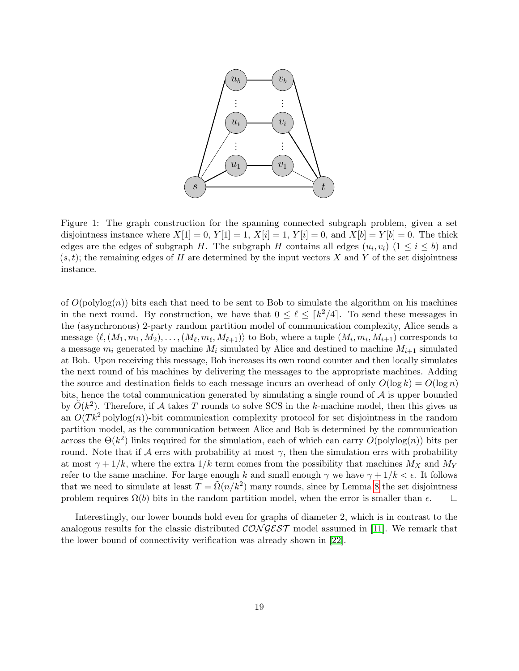

<span id="page-18-0"></span>Figure 1: The graph construction for the spanning connected subgraph problem, given a set disjointness instance where  $X[1] = 0$ ,  $Y[1] = 1$ ,  $X[i] = 1$ ,  $Y[i] = 0$ , and  $X[b] = Y[b] = 0$ . The thick edges are the edges of subgraph H. The subgraph H contains all edges  $(u_i, v_i)$   $(1 \le i \le b)$  and  $(s, t)$ ; the remaining edges of H are determined by the input vectors X and Y of the set disjointness instance.

of  $O(polylog(n))$  bits each that need to be sent to Bob to simulate the algorithm on his machines in the next round. By construction, we have that  $0 \leq \ell \leq \lceil k^2/4 \rceil$ . To send these messages in the (asynchronous) 2-party random partition model of communication complexity, Alice sends a message  $\langle \ell, (M_1, m_1, M_2), \ldots, (M_\ell, m_\ell, M_{\ell+1}) \rangle$  to Bob, where a tuple  $(M_i, m_i, M_{i+1})$  corresponds to a message  $m_i$  generated by machine  $M_i$  simulated by Alice and destined to machine  $M_{i+1}$  simulated at Bob. Upon receiving this message, Bob increases its own round counter and then locally simulates the next round of his machines by delivering the messages to the appropriate machines. Adding the source and destination fields to each message incurs an overhead of only  $O(\log k) = O(\log n)$ bits, hence the total communication generated by simulating a single round of  $A$  is upper bounded by  $\tilde{O}(k^2)$ . Therefore, if A takes T rounds to solve SCS in the k-machine model, then this gives us an  $O(Tk^2)$  polylog(n))-bit communication complexity protocol for set disjointness in the random partition model, as the communication between Alice and Bob is determined by the communication across the  $\Theta(k^2)$  links required for the simulation, each of which can carry  $O(polylog(n))$  bits per round. Note that if  $\mathcal A$  errs with probability at most  $\gamma$ , then the simulation errs with probability at most  $\gamma + 1/k$ , where the extra  $1/k$  term comes from the possibility that machines  $M_X$  and  $M_Y$ refer to the same machine. For large enough k and small enough  $\gamma$  we have  $\gamma + 1/k < \epsilon$ . It follows that we need to simulate at least  $T = \tilde{\Omega}(n/k^2)$  many rounds, since by Lemma [8](#page-17-0) the set disjointness problem requires  $\Omega(b)$  bits in the random partition model, when the error is smaller than  $\epsilon$ .  $\Box$ 

Interestingly, our lower bounds hold even for graphs of diameter 2, which is in contrast to the analogous results for the classic distributed  $\mathcal{CONGEST}$  model assumed in [\[11\]](#page-20-5). We remark that the lower bound of connectivity verification was already shown in [\[22\]](#page-20-0).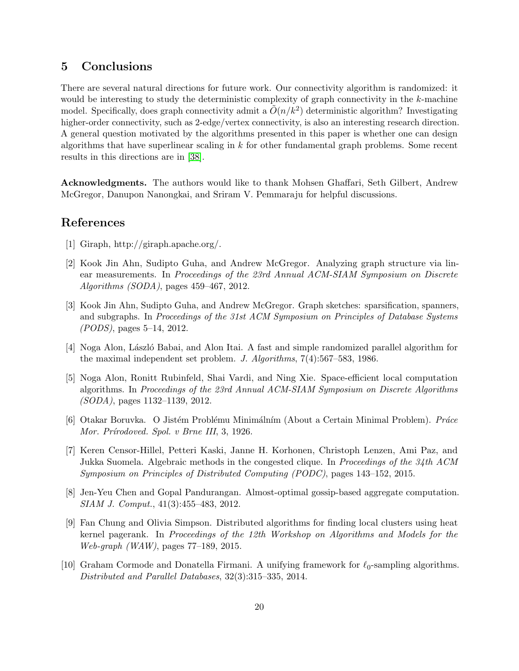# 5 Conclusions

There are several natural directions for future work. Our connectivity algorithm is randomized: it would be interesting to study the deterministic complexity of graph connectivity in the  $k$ -machine model. Specifically, does graph connectivity admit a  $\tilde{O}(n/k^2)$  deterministic algorithm? Investigating higher-order connectivity, such as 2-edge/vertex connectivity, is also an interesting research direction. A general question motivated by the algorithms presented in this paper is whether one can design algorithms that have superlinear scaling in  $k$  for other fundamental graph problems. Some recent results in this directions are in [\[38\]](#page-21-3).

Acknowledgments. The authors would like to thank Mohsen Ghaffari, Seth Gilbert, Andrew McGregor, Danupon Nanongkai, and Sriram V. Pemmaraju for helpful discussions.

# References

- <span id="page-19-0"></span>[1] Giraph, http://giraph.apache.org/.
- <span id="page-19-3"></span>[2] Kook Jin Ahn, Sudipto Guha, and Andrew McGregor. Analyzing graph structure via linear measurements. In Proceedings of the 23rd Annual ACM-SIAM Symposium on Discrete Algorithms (SODA), pages 459–467, 2012.
- <span id="page-19-4"></span>[3] Kook Jin Ahn, Sudipto Guha, and Andrew McGregor. Graph sketches: sparsification, spanners, and subgraphs. In Proceedings of the 31st ACM Symposium on Principles of Database Systems (PODS), pages 5–14, 2012.
- <span id="page-19-7"></span>[4] Noga Alon, László Babai, and Alon Itai. A fast and simple randomized parallel algorithm for the maximal independent set problem. J. Algorithms, 7(4):567–583, 1986.
- <span id="page-19-8"></span>[5] Noga Alon, Ronitt Rubinfeld, Shai Vardi, and Ning Xie. Space-efficient local computation algorithms. In Proceedings of the 23rd Annual ACM-SIAM Symposium on Discrete Algorithms (SODA), pages 1132–1139, 2012.
- <span id="page-19-6"></span>[6] Otakar Boruvka. O Jistém Problému Minimálním (About a Certain Minimal Problem). Práce Mor. Prírodoved. Spol. v Brne III, 3, 1926.
- <span id="page-19-5"></span>[7] Keren Censor-Hillel, Petteri Kaski, Janne H. Korhonen, Christoph Lenzen, Ami Paz, and Jukka Suomela. Algebraic methods in the congested clique. In Proceedings of the 34th ACM Symposium on Principles of Distributed Computing (PODC), pages 143–152, 2015.
- <span id="page-19-2"></span>[8] Jen-Yeu Chen and Gopal Pandurangan. Almost-optimal gossip-based aggregate computation. SIAM J. Comput., 41(3):455–483, 2012.
- <span id="page-19-1"></span>[9] Fan Chung and Olivia Simpson. Distributed algorithms for finding local clusters using heat kernel pagerank. In Proceedings of the 12th Workshop on Algorithms and Models for the Web-graph (WAW), pages 77–189, 2015.
- <span id="page-19-9"></span>[10] Graham Cormode and Donatella Firmani. A unifying framework for  $\ell_0$ -sampling algorithms. Distributed and Parallel Databases, 32(3):315–335, 2014.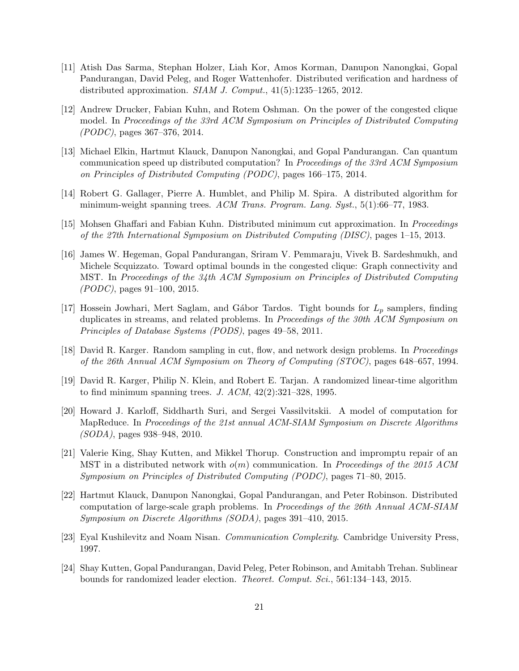- <span id="page-20-5"></span>[11] Atish Das Sarma, Stephan Holzer, Liah Kor, Amos Korman, Danupon Nanongkai, Gopal Pandurangan, David Peleg, and Roger Wattenhofer. Distributed verification and hardness of distributed approximation. SIAM J. Comput., 41(5):1235–1265, 2012.
- <span id="page-20-3"></span>[12] Andrew Drucker, Fabian Kuhn, and Rotem Oshman. On the power of the congested clique model. In Proceedings of the 33rd ACM Symposium on Principles of Distributed Computing (PODC), pages 367–376, 2014.
- <span id="page-20-6"></span>[13] Michael Elkin, Hartmut Klauck, Danupon Nanongkai, and Gopal Pandurangan. Can quantum communication speed up distributed computation? In Proceedings of the 33rd ACM Symposium on Principles of Distributed Computing (PODC), pages 166–175, 2014.
- <span id="page-20-1"></span>[14] Robert G. Gallager, Pierre A. Humblet, and Philip M. Spira. A distributed algorithm for minimum-weight spanning trees. ACM Trans. Program. Lang. Syst., 5(1):66–77, 1983.
- <span id="page-20-12"></span>[15] Mohsen Ghaffari and Fabian Kuhn. Distributed minimum cut approximation. In Proceedings of the 27th International Symposium on Distributed Computing (DISC), pages 1–15, 2013.
- <span id="page-20-4"></span>[16] James W. Hegeman, Gopal Pandurangan, Sriram V. Pemmaraju, Vivek B. Sardeshmukh, and Michele Scquizzato. Toward optimal bounds in the congested clique: Graph connectivity and MST. In Proceedings of the 34th ACM Symposium on Principles of Distributed Computing (PODC), pages 91–100, 2015.
- <span id="page-20-10"></span>[17] Hossein Jowhari, Mert Saglam, and Gábor Tardos. Tight bounds for  $L_p$  samplers, finding duplicates in streams, and related problems. In *Proceedings of the 30th ACM Symposium on* Principles of Database Systems (PODS), pages 49–58, 2011.
- <span id="page-20-11"></span>[18] David R. Karger. Random sampling in cut, flow, and network design problems. In Proceedings of the 26th Annual ACM Symposium on Theory of Computing (STOC), pages 648–657, 1994.
- <span id="page-20-9"></span>[19] David R. Karger, Philip N. Klein, and Robert E. Tarjan. A randomized linear-time algorithm to find minimum spanning trees. J.  $ACM$ ,  $42(2):321-328$ , 1995.
- <span id="page-20-2"></span>[20] Howard J. Karloff, Siddharth Suri, and Sergei Vassilvitskii. A model of computation for MapReduce. In Proceedings of the 21st annual ACM-SIAM Symposium on Discrete Algorithms (SODA), pages 938–948, 2010.
- <span id="page-20-7"></span>[21] Valerie King, Shay Kutten, and Mikkel Thorup. Construction and impromptu repair of an MST in a distributed network with  $o(m)$  communication. In Proceedings of the 2015 ACM Symposium on Principles of Distributed Computing (PODC), pages 71–80, 2015.
- <span id="page-20-0"></span>[22] Hartmut Klauck, Danupon Nanongkai, Gopal Pandurangan, and Peter Robinson. Distributed computation of large-scale graph problems. In Proceedings of the 26th Annual ACM-SIAM Symposium on Discrete Algorithms (SODA), pages 391–410, 2015.
- <span id="page-20-13"></span>[23] Eyal Kushilevitz and Noam Nisan. Communication Complexity. Cambridge University Press, 1997.
- <span id="page-20-8"></span>[24] Shay Kutten, Gopal Pandurangan, David Peleg, Peter Robinson, and Amitabh Trehan. Sublinear bounds for randomized leader election. Theoret. Comput. Sci., 561:134–143, 2015.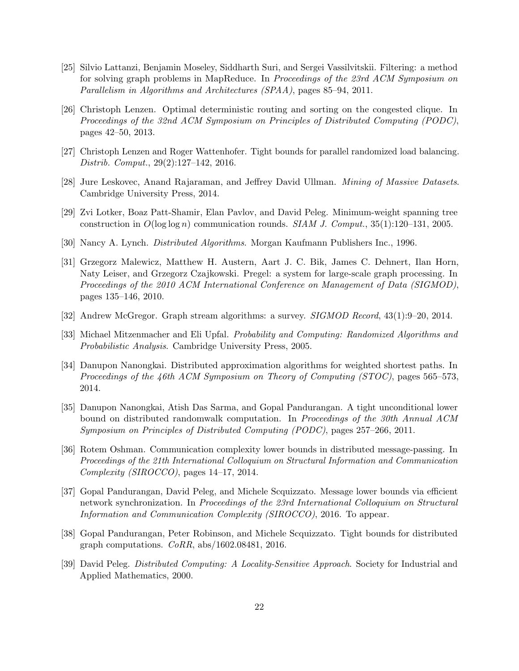- <span id="page-21-5"></span>[25] Silvio Lattanzi, Benjamin Moseley, Siddharth Suri, and Sergei Vassilvitskii. Filtering: a method for solving graph problems in MapReduce. In Proceedings of the 23rd ACM Symposium on Parallelism in Algorithms and Architectures (SPAA), pages 85–94, 2011.
- <span id="page-21-9"></span>[26] Christoph Lenzen. Optimal deterministic routing and sorting on the congested clique. In Proceedings of the 32nd ACM Symposium on Principles of Distributed Computing (PODC), pages 42–50, 2013.
- <span id="page-21-8"></span>[27] Christoph Lenzen and Roger Wattenhofer. Tight bounds for parallel randomized load balancing. Distrib. Comput., 29(2):127–142, 2016.
- <span id="page-21-6"></span>[28] Jure Leskovec, Anand Rajaraman, and Jeffrey David Ullman. Mining of Massive Datasets. Cambridge University Press, 2014.
- <span id="page-21-7"></span>[29] Zvi Lotker, Boaz Patt-Shamir, Elan Pavlov, and David Peleg. Minimum-weight spanning tree construction in  $O(\log \log n)$  communication rounds. SIAM J. Comput., 35(1):120–131, 2005.
- <span id="page-21-1"></span>[30] Nancy A. Lynch. Distributed Algorithms. Morgan Kaufmann Publishers Inc., 1996.
- <span id="page-21-0"></span>[31] Grzegorz Malewicz, Matthew H. Austern, Aart J. C. Bik, James C. Dehnert, Ilan Horn, Naty Leiser, and Grzegorz Czajkowski. Pregel: a system for large-scale graph processing. In Proceedings of the 2010 ACM International Conference on Management of Data (SIGMOD), pages 135–146, 2010.
- <span id="page-21-4"></span>[32] Andrew McGregor. Graph stream algorithms: a survey. SIGMOD Record, 43(1):9–20, 2014.
- <span id="page-21-12"></span>[33] Michael Mitzenmacher and Eli Upfal. Probability and Computing: Randomized Algorithms and Probabilistic Analysis. Cambridge University Press, 2005.
- <span id="page-21-10"></span>[34] Danupon Nanongkai. Distributed approximation algorithms for weighted shortest paths. In Proceedings of the 46th ACM Symposium on Theory of Computing (STOC), pages 565–573, 2014.
- <span id="page-21-11"></span>[35] Danupon Nanongkai, Atish Das Sarma, and Gopal Pandurangan. A tight unconditional lower bound on distributed randomwalk computation. In Proceedings of the 30th Annual ACM Symposium on Principles of Distributed Computing (PODC), pages 257–266, 2011.
- <span id="page-21-13"></span>[36] Rotem Oshman. Communication complexity lower bounds in distributed message-passing. In Proceedings of the 21th International Colloquium on Structural Information and Communication Complexity (SIROCCO), pages 14–17, 2014.
- <span id="page-21-14"></span>[37] Gopal Pandurangan, David Peleg, and Michele Scquizzato. Message lower bounds via efficient network synchronization. In Proceedings of the 23rd International Colloquium on Structural Information and Communication Complexity (SIROCCO), 2016. To appear.
- <span id="page-21-3"></span>[38] Gopal Pandurangan, Peter Robinson, and Michele Scquizzato. Tight bounds for distributed graph computations. CoRR, abs/1602.08481, 2016.
- <span id="page-21-2"></span>[39] David Peleg. Distributed Computing: A Locality-Sensitive Approach. Society for Industrial and Applied Mathematics, 2000.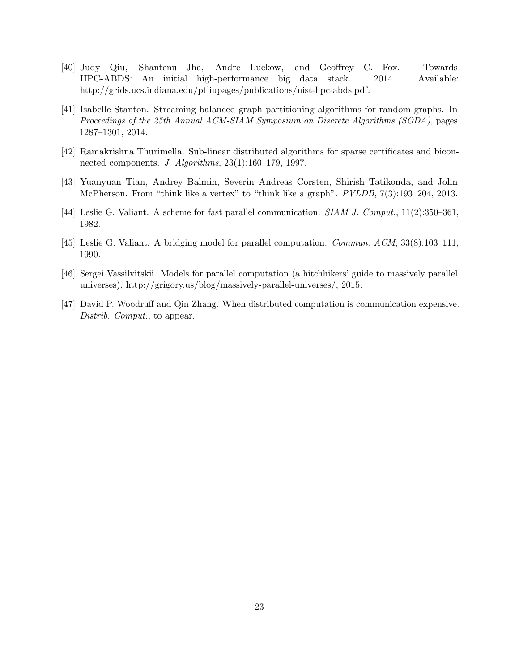- <span id="page-22-1"></span>[40] Judy Qiu, Shantenu Jha, Andre Luckow, and Geoffrey C. Fox. Towards HPC-ABDS: An initial high-performance big data stack. 2014. Available: http://grids.ucs.indiana.edu/ptliupages/publications/nist-hpc-abds.pdf.
- <span id="page-22-0"></span>[41] Isabelle Stanton. Streaming balanced graph partitioning algorithms for random graphs. In Proceedings of the 25th Annual ACM-SIAM Symposium on Discrete Algorithms (SODA), pages 1287–1301, 2014.
- <span id="page-22-7"></span>[42] Ramakrishna Thurimella. Sub-linear distributed algorithms for sparse certificates and biconnected components. J. Algorithms, 23(1):160–179, 1997.
- <span id="page-22-3"></span>[43] Yuanyuan Tian, Andrey Balmin, Severin Andreas Corsten, Shirish Tatikonda, and John McPherson. From "think like a vertex" to "think like a graph". PVLDB, 7(3):193–204, 2013.
- <span id="page-22-2"></span>[44] Leslie G. Valiant. A scheme for fast parallel communication. SIAM J. Comput., 11(2):350–361, 1982.
- <span id="page-22-4"></span>[45] Leslie G. Valiant. A bridging model for parallel computation. Commun. ACM, 33(8):103–111, 1990.
- <span id="page-22-5"></span>[46] Sergei Vassilvitskii. Models for parallel computation (a hitchhikers' guide to massively parallel universes), http://grigory.us/blog/massively-parallel-universes/, 2015.
- <span id="page-22-6"></span>[47] David P. Woodruff and Qin Zhang. When distributed computation is communication expensive. Distrib. Comput., to appear.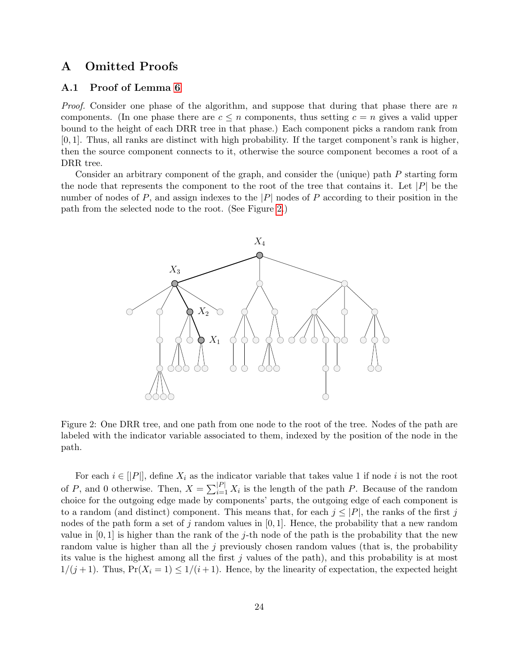### A Omitted Proofs

### A.1 Proof of Lemma [6](#page-12-2)

*Proof.* Consider one phase of the algorithm, and suppose that during that phase there are n components. (In one phase there are  $c \leq n$  components, thus setting  $c = n$  gives a valid upper bound to the height of each DRR tree in that phase.) Each component picks a random rank from [0, 1]. Thus, all ranks are distinct with high probability. If the target component's rank is higher, then the source component connects to it, otherwise the source component becomes a root of a DRR tree.

Consider an arbitrary component of the graph, and consider the (unique) path P starting form the node that represents the component to the root of the tree that contains it. Let  $|P|$  be the number of nodes of  $P$ , and assign indexes to the  $|P|$  nodes of  $P$  according to their position in the path from the selected node to the root. (See Figure [2.](#page-23-0))



<span id="page-23-0"></span>Figure 2: One DRR tree, and one path from one node to the root of the tree. Nodes of the path are labeled with the indicator variable associated to them, indexed by the position of the node in the path.

For each  $i \in [P]$ , define  $X_i$  as the indicator variable that takes value 1 if node i is not the root of P, and 0 otherwise. Then,  $X = \sum_{i=1}^{|P|} X_i$  is the length of the path P. Because of the random choice for the outgoing edge made by components' parts, the outgoing edge of each component is to a random (and distinct) component. This means that, for each  $j \leq |P|$ , the ranks of the first j nodes of the path form a set of j random values in  $[0, 1]$ . Hence, the probability that a new random value in  $[0, 1]$  is higher than the rank of the j-th node of the path is the probability that the new random value is higher than all the  $j$  previously chosen random values (that is, the probability its value is the highest among all the first  $j$  values of the path), and this probability is at most  $1/(j+1)$ . Thus,  $Pr(X_i = 1) \leq 1/(i+1)$ . Hence, by the linearity of expectation, the expected height